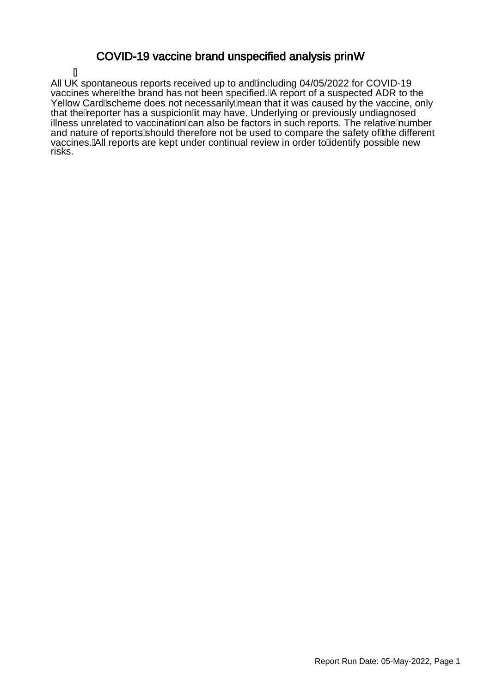### COVID-19 vaccine brand unspecified analysis princ

Á All UK spontaneous reports received up to and Ancluding 04/05/2022 for COVID-19 vaccines where the brand has not been specified. A report of a suspected ADR to the Yellow Card Scheme does not necessarily mean that it was caused by the vaccine, only that the $\hat{A}$ eporter has a suspicioņ $\hat{A}$ t may have. Underlying or previously undiagnosed illness unrelated to vaccination $\&$ an also be factors in such reports. The relative $\AA$ umber and nature of reports should therefore not be used to compare the safety of the different vaccines. All reports are kept under continual review in order to Adentify possible new risks.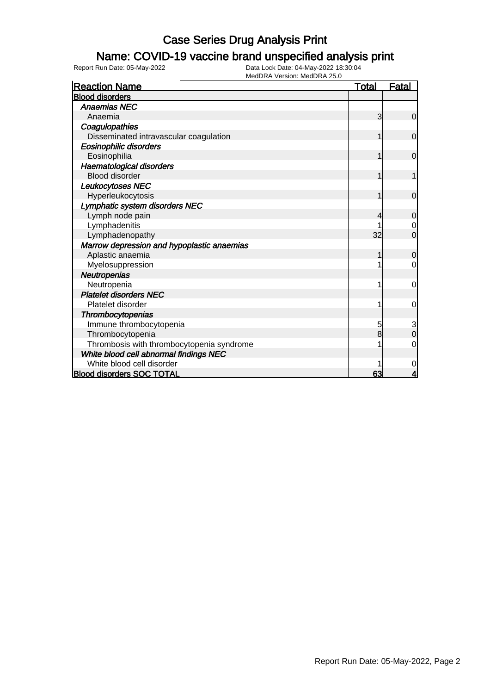### Name: COVID-19 vaccine brand unspecified analysis print

| <b>Reaction Name</b>                       | <b>Total</b> | Fatal          |
|--------------------------------------------|--------------|----------------|
| <b>Blood disorders</b>                     |              |                |
| <b>Anaemias NEC</b>                        |              |                |
| Anaemia                                    | 3            | $\mathbf 0$    |
| Coagulopathies                             |              |                |
| Disseminated intravascular coagulation     |              | $\mathbf 0$    |
| <b>Eosinophilic disorders</b>              |              |                |
| Eosinophilia                               |              | $\mathbf 0$    |
| Haematological disorders                   |              |                |
| <b>Blood disorder</b>                      |              |                |
| Leukocytoses NEC                           |              |                |
| Hyperleukocytosis                          |              | $\Omega$       |
| Lymphatic system disorders NEC             |              |                |
| Lymph node pain                            | 4            | $\mathbf 0$    |
| Lymphadenitis                              |              | $\mathbf 0$    |
| Lymphadenopathy                            | 32           | $\overline{0}$ |
| Marrow depression and hypoplastic anaemias |              |                |
| Aplastic anaemia                           |              | $\mathbf 0$    |
| Myelosuppression                           |              | 0              |
| Neutropenias                               |              |                |
| Neutropenia                                |              | 0              |
| <b>Platelet disorders NEC</b>              |              |                |
| Platelet disorder                          |              | 0              |
| Thrombocytopenias                          |              |                |
| Immune thrombocytopenia                    | 5            | 3              |
| Thrombocytopenia                           | 8            | $\overline{0}$ |
| Thrombosis with thrombocytopenia syndrome  |              | $\mathbf 0$    |
| White blood cell abnormal findings NEC     |              |                |
| White blood cell disorder                  |              | 0              |
| <b>Blood disorders SOC TOTAL</b>           | 63           | 4              |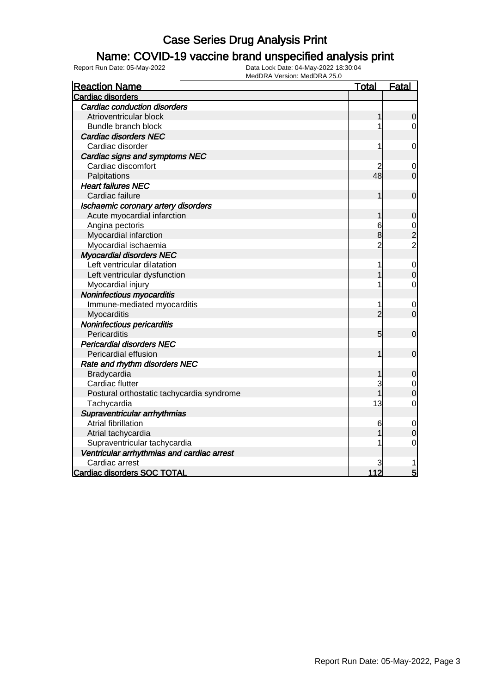### Name: COVID-19 vaccine brand unspecified analysis print

| <b>Reaction Name</b>                       | <u>Total</u>   | <b>Fatal</b>                               |
|--------------------------------------------|----------------|--------------------------------------------|
| Cardiac disorders                          |                |                                            |
| <b>Cardiac conduction disorders</b>        |                |                                            |
| Atrioventricular block                     | 1              | $\mathbf 0$                                |
| Bundle branch block                        | 1              | $\overline{0}$                             |
| <b>Cardiac disorders NEC</b>               |                |                                            |
| Cardiac disorder                           | 1              | $\mathbf 0$                                |
| Cardiac signs and symptoms NEC             |                |                                            |
| Cardiac discomfort                         | 2              | 0                                          |
| Palpitations                               | 48             | $\overline{0}$                             |
| <b>Heart failures NEC</b>                  |                |                                            |
| Cardiac failure                            | 1              | $\mathbf 0$                                |
| Ischaemic coronary artery disorders        |                |                                            |
| Acute myocardial infarction                | 1              | $\mathbf 0$                                |
| Angina pectoris                            | 6              |                                            |
| Myocardial infarction                      | 8              | $\begin{array}{c} 0 \\ 2 \\ 2 \end{array}$ |
| Myocardial ischaemia                       | 2              |                                            |
| <b>Myocardial disorders NEC</b>            |                |                                            |
| Left ventricular dilatation                | 1              | $\mathbf 0$                                |
| Left ventricular dysfunction               |                | $\mathbf{0}$                               |
| Myocardial injury                          | 1              | $\mathbf 0$                                |
| Noninfectious myocarditis                  |                |                                            |
| Immune-mediated myocarditis                | 1              | $\mathbf 0$                                |
| Myocarditis                                | $\overline{2}$ | $\overline{0}$                             |
| Noninfectious pericarditis                 |                |                                            |
| Pericarditis                               | 5              | $\mathbf 0$                                |
| <b>Pericardial disorders NEC</b>           |                |                                            |
| Pericardial effusion                       | 1              | $\mathbf 0$                                |
| Rate and rhythm disorders NEC              |                |                                            |
| Bradycardia                                | 1              | $\mathbf 0$                                |
| Cardiac flutter                            | 3              | $\mathbf 0$                                |
| Postural orthostatic tachycardia syndrome  |                | $\overline{0}$                             |
| Tachycardia                                | 13             | $\overline{0}$                             |
| Supraventricular arrhythmias               |                |                                            |
| <b>Atrial fibrillation</b>                 | 6              | 0                                          |
| Atrial tachycardia                         |                | $\overline{0}$                             |
| Supraventricular tachycardia               |                | $\mathbf 0$                                |
| Ventricular arrhythmias and cardiac arrest |                |                                            |
| Cardiac arrest                             | 3              |                                            |
| Cardiac disorders SOC TOTAL                | 112            | 5                                          |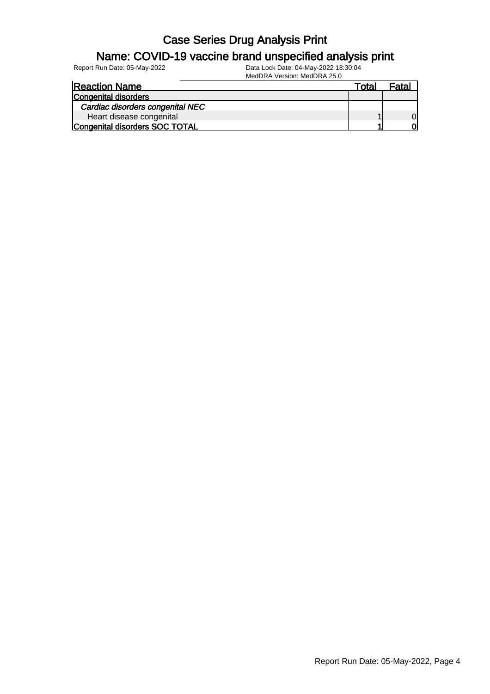#### Name: COVID-19 vaccine brand unspecified analysis print

| <b>Reaction Name</b>             | Total | Fatal    |
|----------------------------------|-------|----------|
| <b>Congenital disorders</b>      |       |          |
| Cardiac disorders congenital NEC |       |          |
| Heart disease congenital         |       | $\Omega$ |
| Congenital disorders SOC TOTAL   |       | വ        |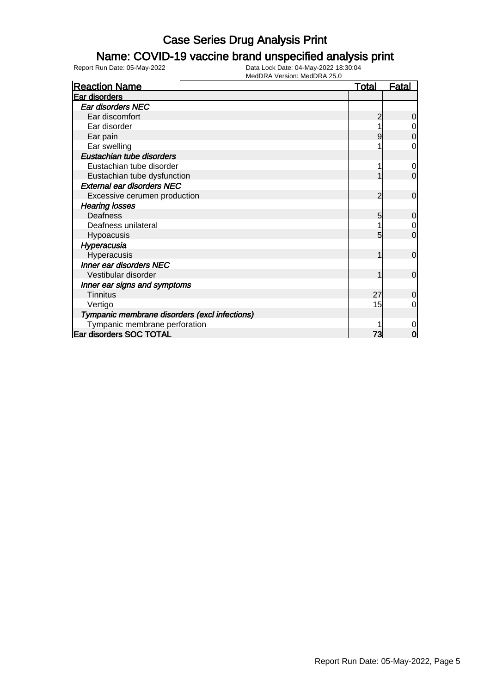### Name: COVID-19 vaccine brand unspecified analysis print

| <b>Reaction Name</b>                          | <b>Total</b> | <b>Fatal</b>   |
|-----------------------------------------------|--------------|----------------|
| Ear disorders                                 |              |                |
| <b>Ear disorders NEC</b>                      |              |                |
| Ear discomfort                                |              | 0              |
| Ear disorder                                  |              | 0              |
| Ear pain                                      |              | 0              |
| Ear swelling                                  |              | 0              |
| Eustachian tube disorders                     |              |                |
| Eustachian tube disorder                      |              | 0              |
| Eustachian tube dysfunction                   |              | $\mathbf 0$    |
| <b>External ear disorders NEC</b>             |              |                |
| Excessive cerumen production                  | 2            | $\mathbf 0$    |
| <b>Hearing losses</b>                         |              |                |
| <b>Deafness</b>                               | 5            | $\overline{0}$ |
| Deafness unilateral                           |              | $\mathbf 0$    |
| <b>Hypoacusis</b>                             | 5            | $\Omega$       |
| Hyperacusia                                   |              |                |
| Hyperacusis                                   |              | $\mathbf 0$    |
| Inner ear disorders NEC                       |              |                |
| Vestibular disorder                           |              | $\overline{0}$ |
| Inner ear signs and symptoms                  |              |                |
| <b>Tinnitus</b>                               | 27           | 0              |
| Vertigo                                       | 15           | 0              |
| Tympanic membrane disorders (excl infections) |              |                |
| Tympanic membrane perforation                 |              | 0              |
| Ear disorders SOC TOTAL                       | 73           | 0              |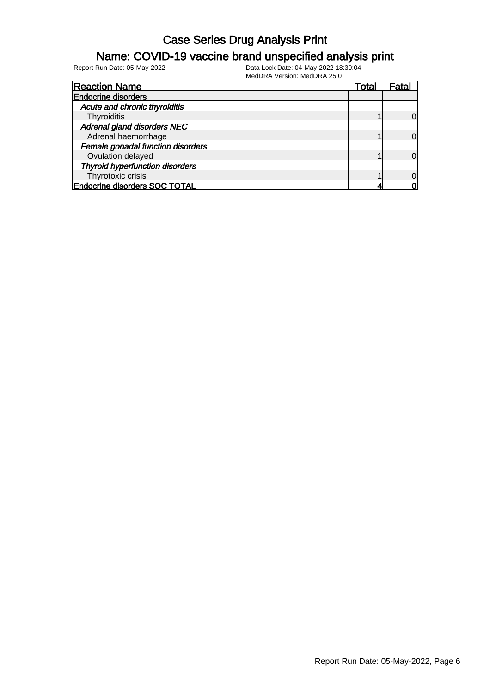#### Name: COVID-19 vaccine brand unspecified analysis print

Report Run Date: 05-May-2022 Data Lock Date: 04-May-2022 18:30:04

MedDRA Version: MedDRA 25.0

| <b>Reaction Name</b>                   | Total | Fata     |
|----------------------------------------|-------|----------|
| <b>Endocrine disorders</b>             |       |          |
| Acute and chronic thyroiditis          |       |          |
| Thyroiditis                            |       | $\Omega$ |
| Adrenal gland disorders NEC            |       |          |
| Adrenal haemorrhage                    |       | $\Omega$ |
| Female gonadal function disorders      |       |          |
| Ovulation delayed                      |       | $\Omega$ |
| <b>Thyroid hyperfunction disorders</b> |       |          |
| Thyrotoxic crisis                      |       | $\Omega$ |
| <b>Endocrine disorders SOC TOTAL</b>   |       |          |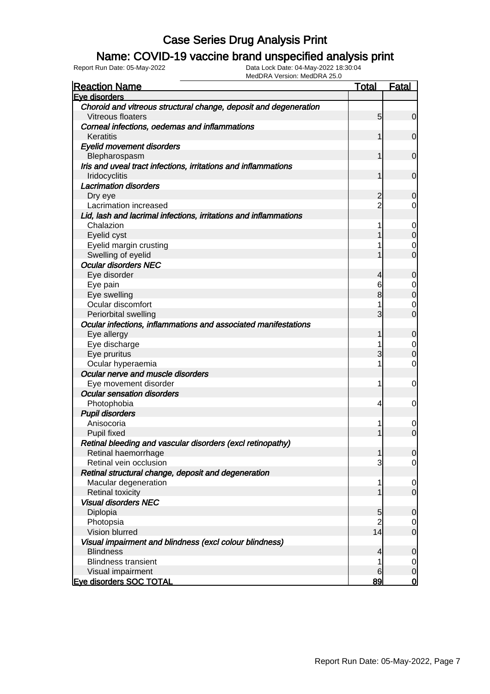#### Name: COVID-19 vaccine brand unspecified analysis print

| <b>Reaction Name</b>                                                            | <b>Total</b>   | <b>Fatal</b>   |
|---------------------------------------------------------------------------------|----------------|----------------|
| Eve disorders                                                                   |                |                |
| Choroid and vitreous structural change, deposit and degeneration                |                |                |
| Vitreous floaters                                                               | 5              | $\overline{0}$ |
| Corneal infections, oedemas and inflammations                                   |                |                |
| Keratitis                                                                       |                | $\mathbf 0$    |
| <b>Eyelid movement disorders</b>                                                |                |                |
| Blepharospasm<br>Iris and uveal tract infections, irritations and inflammations |                | $\mathbf 0$    |
| Iridocyclitis                                                                   |                | $\mathbf 0$    |
| <b>Lacrimation disorders</b>                                                    |                |                |
| Dry eye                                                                         | $\overline{c}$ | 0              |
| Lacrimation increased                                                           | $\overline{2}$ | 0              |
| Lid, lash and lacrimal infections, irritations and inflammations                |                |                |
| Chalazion                                                                       |                | 0              |
| Eyelid cyst                                                                     |                | $\mathbf 0$    |
| Eyelid margin crusting                                                          |                | 0              |
| Swelling of eyelid                                                              |                | $\overline{0}$ |
| <b>Ocular disorders NEC</b>                                                     |                |                |
| Eye disorder                                                                    | 4              | 0              |
| Eye pain                                                                        | 6              | 0              |
| Eye swelling                                                                    | 8              | $\mathbf 0$    |
| Ocular discomfort                                                               |                | 0              |
| Periorbital swelling                                                            | 3              | $\overline{0}$ |
| Ocular infections, inflammations and associated manifestations                  |                |                |
| Eye allergy                                                                     |                | 0              |
| Eye discharge                                                                   |                | 0              |
| Eye pruritus                                                                    | 3              | $\mathbf 0$    |
| Ocular hyperaemia                                                               |                | 0              |
| Ocular nerve and muscle disorders                                               |                |                |
| Eye movement disorder                                                           | 1              | 0              |
| <b>Ocular sensation disorders</b>                                               |                |                |
| Photophobia                                                                     | 4              | 0              |
| <b>Pupil disorders</b>                                                          |                |                |
| Anisocoria                                                                      |                | $\mathbf 0$    |
| <b>Pupil fixed</b>                                                              |                | $\overline{0}$ |
| Retinal bleeding and vascular disorders (excl retinopathy)                      |                |                |
| Retinal haemorrhage                                                             | 1              | 0              |
| Retinal vein occlusion                                                          | 3              | $\overline{0}$ |
| Retinal structural change, deposit and degeneration                             |                |                |
| Macular degeneration                                                            | 1              | $\overline{0}$ |
| <b>Retinal toxicity</b><br><b>Visual disorders NEC</b>                          |                | $\mathbf 0$    |
|                                                                                 | 5              | $\mathbf 0$    |
| Diplopia<br>Photopsia                                                           | $\overline{c}$ | $\overline{0}$ |
| Vision blurred                                                                  | 14             | $\mathbf 0$    |
| Visual impairment and blindness (excl colour blindness)                         |                |                |
| <b>Blindness</b>                                                                | 4              | $\mathbf 0$    |
| <b>Blindness transient</b>                                                      |                | $\overline{0}$ |
| Visual impairment                                                               | 6              | $\mathbf 0$    |
| <b>Eye disorders SOC TOTAL</b>                                                  | 89             | $\overline{0}$ |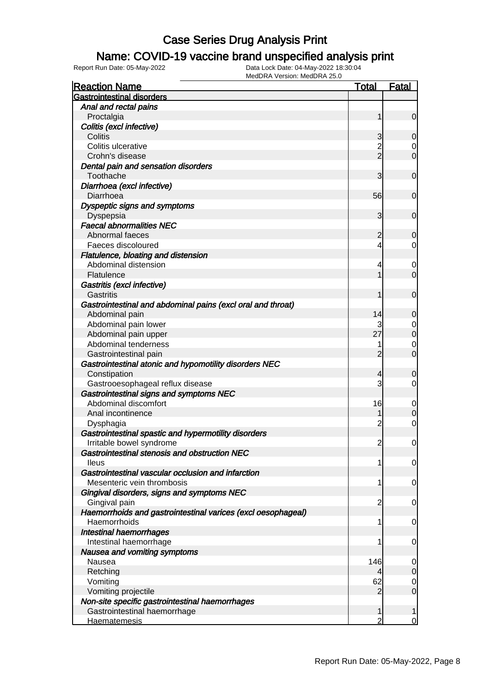### Name: COVID-19 vaccine brand unspecified analysis print

| <b>Reaction Name</b>                                         | <b>Total</b>   | <b>Fatal</b>          |
|--------------------------------------------------------------|----------------|-----------------------|
| <b>Gastrointestinal disorders</b>                            |                |                       |
| Anal and rectal pains                                        |                |                       |
| Proctalgia                                                   | 1              | $\overline{0}$        |
| Colitis (excl infective)                                     |                |                       |
| Colitis                                                      | 3              | 0                     |
| Colitis ulcerative                                           | $\overline{c}$ | $\overline{0}$        |
| Crohn's disease                                              | $\overline{2}$ | $\mathbf 0$           |
| Dental pain and sensation disorders                          |                |                       |
| Toothache                                                    | 3              | $\mathbf 0$           |
| Diarrhoea (excl infective)                                   |                |                       |
| Diarrhoea                                                    | 56             | $\mathbf 0$           |
| Dyspeptic signs and symptoms                                 |                |                       |
| Dyspepsia                                                    | 3              | $\mathbf 0$           |
| <b>Faecal abnormalities NEC</b>                              |                |                       |
| Abnormal faeces                                              | $\overline{c}$ | 0                     |
| Faeces discoloured                                           | 4              | $\overline{0}$        |
| Flatulence, bloating and distension                          |                |                       |
| Abdominal distension                                         | 4              | 0                     |
| Flatulence                                                   |                | $\overline{0}$        |
| Gastritis (excl infective)                                   |                |                       |
| Gastritis                                                    | 1              | $\mathbf 0$           |
| Gastrointestinal and abdominal pains (excl oral and throat)  |                |                       |
| Abdominal pain                                               | 14             | 0                     |
| Abdominal pain lower                                         |                | $\mathbf 0$           |
| Abdominal pain upper                                         | 27             | $\mathbf 0$           |
| Abdominal tenderness                                         | 1              | $\mathbf 0$           |
| Gastrointestinal pain                                        | $\overline{2}$ | $\mathbf 0$           |
| Gastrointestinal atonic and hypomotility disorders NEC       |                |                       |
| Constipation                                                 | 4              | 0                     |
| Gastrooesophageal reflux disease                             | 3              | $\overline{0}$        |
| Gastrointestinal signs and symptoms NEC                      |                |                       |
| Abdominal discomfort                                         | 16             |                       |
| Anal incontinence                                            |                | 0<br>$\boldsymbol{0}$ |
|                                                              | $\overline{c}$ | $\mathbf 0$           |
| Dysphagia                                                    |                |                       |
| Gastrointestinal spastic and hypermotility disorders         |                |                       |
| Irritable bowel syndrome                                     | $\overline{c}$ | $\mathbf 0$           |
| Gastrointestinal stenosis and obstruction NEC                |                |                       |
| <b>Ileus</b>                                                 | 1              | $\overline{0}$        |
| Gastrointestinal vascular occlusion and infarction           |                |                       |
| Mesenteric vein thrombosis                                   | 1              | $\mathbf 0$           |
| Gingival disorders, signs and symptoms NEC                   |                |                       |
| Gingival pain                                                | 2              | $\mathbf 0$           |
| Haemorrhoids and gastrointestinal varices (excl oesophageal) |                |                       |
| Haemorrhoids                                                 | 1              | $\mathbf 0$           |
| Intestinal haemorrhages                                      |                |                       |
| Intestinal haemorrhage                                       | 1              | $\mathbf 0$           |
| Nausea and vomiting symptoms                                 |                |                       |
| Nausea                                                       | 146            | $\mathbf 0$           |
| Retching                                                     | 4              | $\boldsymbol{0}$      |
| Vomiting                                                     | 62             | $\overline{0}$        |
| Vomiting projectile                                          | $\overline{2}$ | $\overline{0}$        |
| Non-site specific gastrointestinal haemorrhages              |                |                       |
| Gastrointestinal haemorrhage                                 | 1              | 1                     |
| <b>Haematemesis</b>                                          | $\overline{2}$ | $\overline{0}$        |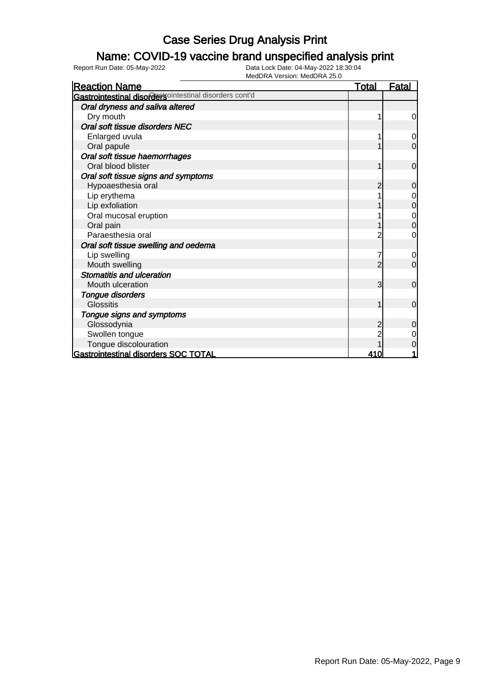#### Name: COVID-19 vaccine brand unspecified analysis print

| <b>Reaction Name</b>                                          | <u>Total</u>   | <u>Fatal</u>                         |
|---------------------------------------------------------------|----------------|--------------------------------------|
| <b>Gastrointestinal disordersointestinal disorders cont'd</b> |                |                                      |
| Oral dryness and saliva altered                               |                |                                      |
| Dry mouth                                                     |                | $\overline{0}$                       |
| Oral soft tissue disorders NEC                                |                |                                      |
| Enlarged uvula                                                |                | $\overline{O}$                       |
| Oral papule                                                   |                | $\overline{O}$                       |
| Oral soft tissue haemorrhages                                 |                |                                      |
| Oral blood blister                                            |                | $\overline{0}$                       |
| Oral soft tissue signs and symptoms                           |                |                                      |
| Hypoaesthesia oral                                            | $\overline{2}$ | $\overline{0}$                       |
| Lip erythema                                                  |                | $\overline{0}$                       |
| Lip exfoliation                                               |                | $\overline{0}$                       |
| Oral mucosal eruption                                         |                | $\begin{matrix} 0 \\ 0 \end{matrix}$ |
| Oral pain                                                     |                |                                      |
| Paraesthesia oral                                             |                | $\overline{0}$                       |
| Oral soft tissue swelling and oedema                          |                |                                      |
| Lip swelling                                                  |                | $\overline{0}$                       |
| Mouth swelling                                                | 2              | $\overline{0}$                       |
| <b>Stomatitis and ulceration</b>                              |                |                                      |
| Mouth ulceration                                              | 3              | $\overline{0}$                       |
| <b>Tongue disorders</b>                                       |                |                                      |
| <b>Glossitis</b>                                              | 1              | $\overline{0}$                       |
| Tongue signs and symptoms                                     |                |                                      |
| Glossodynia                                                   |                | $\overline{0}$                       |
| Swollen tongue                                                |                | $\overline{0}$                       |
| Tongue discolouration                                         |                | $\overline{0}$                       |
| Gastrointestinal disorders SOC TOTAL                          | 410            | 1                                    |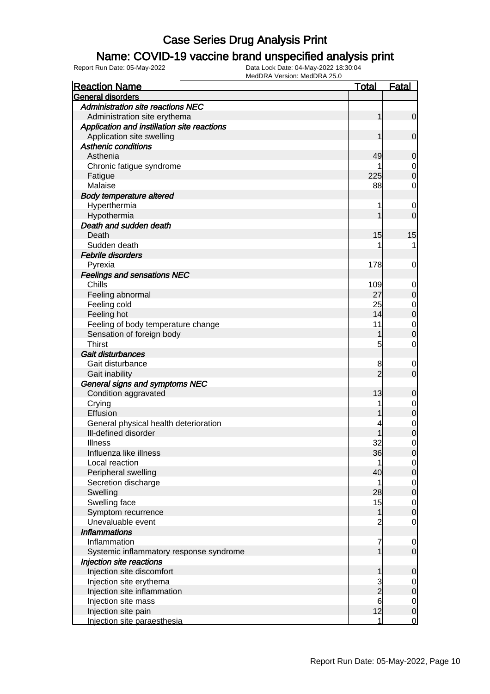#### Name: COVID-19 vaccine brand unspecified analysis print

| <b>Reaction Name</b>                        | Total           | <u>Fatal</u>                         |
|---------------------------------------------|-----------------|--------------------------------------|
| <b>General disorders</b>                    |                 |                                      |
| Administration site reactions NEC           |                 |                                      |
| Administration site erythema                | 1               | $\overline{0}$                       |
| Application and instillation site reactions |                 |                                      |
| Application site swelling                   |                 | $\overline{0}$                       |
| <b>Asthenic conditions</b>                  |                 |                                      |
| Asthenia                                    | 49              | $\overline{0}$                       |
| Chronic fatigue syndrome                    |                 |                                      |
| Fatigue                                     | 225             | $\begin{matrix} 0 \\ 0 \end{matrix}$ |
| Malaise                                     | 88              | $\overline{0}$                       |
| <b>Body temperature altered</b>             |                 |                                      |
| Hyperthermia                                | 1               | $\mathbf 0$                          |
| Hypothermia                                 |                 | $\overline{0}$                       |
| Death and sudden death                      |                 |                                      |
| Death                                       | 15              | 15                                   |
| Sudden death                                |                 | 1                                    |
| <b>Febrile disorders</b>                    |                 |                                      |
| Pyrexia                                     | 178             | 0                                    |
| <b>Feelings and sensations NEC</b>          |                 |                                      |
| Chills                                      | 109             | $\overline{0}$                       |
| Feeling abnormal                            | 27              | $\mathbf 0$                          |
| Feeling cold                                | 25              |                                      |
| Feeling hot                                 | 14              | $\begin{matrix} 0 \\ 0 \end{matrix}$ |
| Feeling of body temperature change          | 11              |                                      |
| Sensation of foreign body                   | 1               | $\begin{matrix} 0 \\ 0 \end{matrix}$ |
| <b>Thirst</b>                               | 5               | $\mathbf 0$                          |
| Gait disturbances                           |                 |                                      |
| Gait disturbance                            | 8               | $\mathbf 0$                          |
| Gait inability                              | $\overline{2}$  | $\mathbf 0$                          |
| General signs and symptoms NEC              |                 |                                      |
| Condition aggravated                        | 13              | 0                                    |
| Crying                                      |                 |                                      |
| Effusion                                    |                 | $0\atop 0$                           |
| General physical health deterioration       |                 | $\overline{0}$                       |
| Ill-defined disorder                        |                 | $\overline{0}$                       |
| <b>Illness</b>                              | 32              | $\mathbf 0$                          |
| Influenza like illness                      | 36              | 0                                    |
| Local reaction                              | 1               | $\overline{0}$                       |
| Peripheral swelling                         | 40              | $\overline{0}$                       |
| Secretion discharge                         | 1               | $\overline{0}$                       |
| Swelling                                    | 28              | $\mathbf 0$                          |
| Swelling face                               | 15              | $\mathbf 0$                          |
| Symptom recurrence                          | 1               | $\mathbf 0$                          |
| Unevaluable event                           | $\overline{2}$  | $\mathbf 0$                          |
| <b>Inflammations</b>                        |                 |                                      |
| Inflammation                                | 7               | $\overline{0}$                       |
| Systemic inflammatory response syndrome     | 1               | $\mathbf 0$                          |
| Injection site reactions                    |                 |                                      |
| Injection site discomfort                   | 1               | 0                                    |
| Injection site erythema                     | 3               | $\overline{0}$                       |
| Injection site inflammation                 | $\overline{c}$  | $\mathbf 0$                          |
| Injection site mass                         | $6\overline{6}$ | $\overline{0}$                       |
| Injection site pain                         | 12              | $\overline{0}$                       |
| Injection site paraesthesia                 | 1               | $\overline{0}$                       |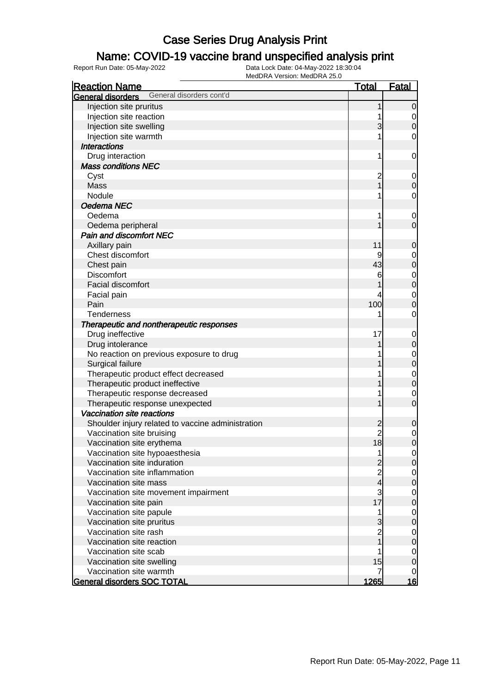### Name: COVID-19 vaccine brand unspecified analysis print

| <b>Reaction Name</b>                              | <b>Total</b>   | <b>Fatal</b>   |
|---------------------------------------------------|----------------|----------------|
| General disorders cont'd<br>General disorders     |                |                |
| Injection site pruritus                           | 1              | $\mathbf 0$    |
| Injection site reaction                           |                | $\mathbf 0$    |
| Injection site swelling                           | 3              | $\mathbf 0$    |
| Injection site warmth                             |                | $\mathbf 0$    |
| <b>Interactions</b>                               |                |                |
| Drug interaction                                  | 1              | $\mathbf 0$    |
| <b>Mass conditions NEC</b>                        |                |                |
| Cyst                                              | $\overline{c}$ | $\mathbf 0$    |
| Mass                                              |                | $\mathbf 0$    |
| Nodule                                            |                | 0              |
| Oedema NEC                                        |                |                |
| Oedema                                            |                | $\mathbf 0$    |
| Oedema peripheral                                 |                | $\overline{0}$ |
| <b>Pain and discomfort NEC</b>                    |                |                |
| Axillary pain                                     | 11             | $\mathbf 0$    |
| Chest discomfort                                  | 9              | $\mathbf 0$    |
| Chest pain                                        | 43             | $\overline{0}$ |
| <b>Discomfort</b>                                 | 6              | $\mathbf 0$    |
| Facial discomfort                                 |                | $\overline{0}$ |
| Facial pain                                       |                | $\mathbf 0$    |
| Pain                                              | 100            | $\overline{0}$ |
| Tenderness                                        |                | $\mathbf 0$    |
| Therapeutic and nontherapeutic responses          |                |                |
| Drug ineffective                                  | 17             | $\mathbf 0$    |
| Drug intolerance                                  |                | $\mathbf 0$    |
| No reaction on previous exposure to drug          |                | $\mathbf 0$    |
| Surgical failure                                  |                | $\overline{0}$ |
| Therapeutic product effect decreased              |                | $\mathbf 0$    |
| Therapeutic product ineffective                   |                | $\overline{0}$ |
| Therapeutic response decreased                    |                | $\mathbf 0$    |
| Therapeutic response unexpected                   |                | $\overline{0}$ |
| <b>Vaccination site reactions</b>                 |                |                |
| Shoulder injury related to vaccine administration | $\overline{c}$ | $\mathbf 0$    |
| Vaccination site bruising                         |                | $\mathbf 0$    |
| Vaccination site erythema                         | 18             | $\overline{0}$ |
| Vaccination site hypoaesthesia                    | 1              | $\overline{0}$ |
| Vaccination site induration                       | $\overline{c}$ | $\mathbf 0$    |
| Vaccination site inflammation                     | 2<br>4         | $\mathbf 0$    |
| Vaccination site mass                             |                | $\overline{0}$ |
| Vaccination site movement impairment              | 3              | $\mathbf 0$    |
| Vaccination site pain                             | 17             | $\overline{0}$ |
| Vaccination site papule                           |                | $\mathbf 0$    |
| Vaccination site pruritus                         | 3              | $\overline{0}$ |
| Vaccination site rash                             |                | $\mathbf{0}$   |
| Vaccination site reaction                         |                | $\overline{0}$ |
| Vaccination site scab                             |                | $\mathbf 0$    |
| Vaccination site swelling                         | 15             | $\mathbf 0$    |
| Vaccination site warmth                           |                | $\mathbf 0$    |
| <b>General disorders SOC TOTAL</b>                | 1265           | <u>16</u>      |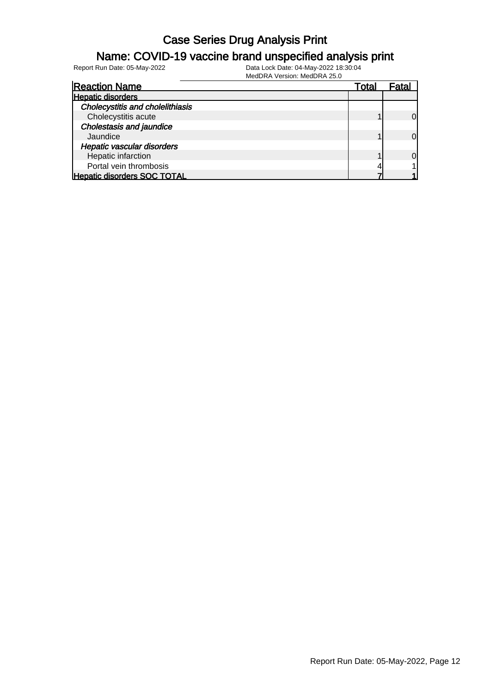#### Name: COVID-19 vaccine brand unspecified analysis print

Report Run Date: 05-May-2022 Data Lock Date: 04-May-2022 18:30:04

MedDRA Version: MedDRA 25.0

| <b>Reaction Name</b>                    | Total | Fata     |
|-----------------------------------------|-------|----------|
| <b>Hepatic disorders</b>                |       |          |
| <b>Cholecystitis and cholelithiasis</b> |       |          |
| Cholecystitis acute                     |       | $\Omega$ |
| <b>Cholestasis and jaundice</b>         |       |          |
| Jaundice                                |       | $\Omega$ |
| <b>Hepatic vascular disorders</b>       |       |          |
| Hepatic infarction                      |       | 0l       |
| Portal vein thrombosis                  |       |          |
| <b>Hepatic disorders SOC TOTAL</b>      |       |          |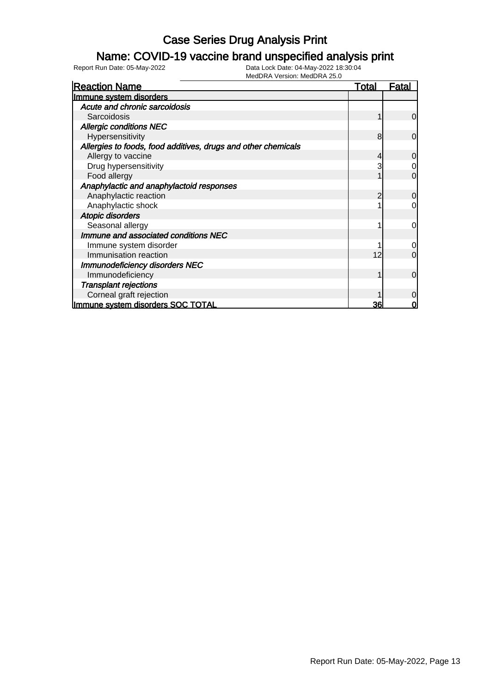#### Name: COVID-19 vaccine brand unspecified analysis print

| <b>Reaction Name</b>                                          | <u>Total</u> | <b>Fatal</b>   |
|---------------------------------------------------------------|--------------|----------------|
| Immune system disorders                                       |              |                |
| Acute and chronic sarcoidosis                                 |              |                |
| Sarcoidosis                                                   |              | $\overline{0}$ |
| <b>Allergic conditions NEC</b>                                |              |                |
| Hypersensitivity                                              | 8            | $\overline{0}$ |
| Allergies to foods, food additives, drugs and other chemicals |              |                |
| Allergy to vaccine                                            |              | $\overline{0}$ |
| Drug hypersensitivity                                         |              | $\overline{0}$ |
| Food allergy                                                  |              | $\overline{0}$ |
| Anaphylactic and anaphylactoid responses                      |              |                |
| Anaphylactic reaction                                         | 2            | $\overline{0}$ |
| Anaphylactic shock                                            |              | 0              |
| Atopic disorders                                              |              |                |
| Seasonal allergy                                              |              | $\overline{0}$ |
| Immune and associated conditions NEC                          |              |                |
| Immune system disorder                                        |              | $\overline{0}$ |
| Immunisation reaction                                         | 12           | $\overline{0}$ |
| <b>Immunodeficiency disorders NEC</b>                         |              |                |
| Immunodeficiency                                              |              | $\overline{0}$ |
| <b>Transplant rejections</b>                                  |              |                |
| Corneal graft rejection                                       |              | $\overline{0}$ |
| Immune system disorders SOC TOTAL                             | <u>36</u>    | 0              |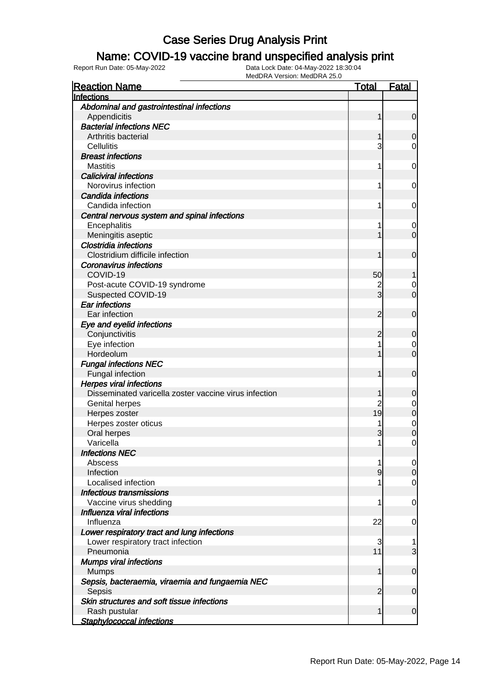#### Name: COVID-19 vaccine brand unspecified analysis print

| <b>Reaction Name</b>                                  | <b>Total</b>   | <b>Fatal</b>     |
|-------------------------------------------------------|----------------|------------------|
| Infections                                            |                |                  |
| Abdominal and gastrointestinal infections             |                |                  |
| Appendicitis                                          | 1              | $\overline{0}$   |
| <b>Bacterial infections NEC</b>                       |                |                  |
| Arthritis bacterial                                   | 1              | 0                |
| Cellulitis                                            | 3              | 0                |
| <b>Breast infections</b>                              |                |                  |
| <b>Mastitis</b>                                       | 1              | 0                |
| <b>Caliciviral infections</b>                         |                |                  |
| Norovirus infection                                   | 1              | 0                |
| Candida infections                                    |                |                  |
| Candida infection                                     | 1              | 0                |
| Central nervous system and spinal infections          |                |                  |
| Encephalitis                                          | 1              | 0                |
| Meningitis aseptic                                    | 1              | $\overline{0}$   |
| <b>Clostridia infections</b>                          |                |                  |
| Clostridium difficile infection                       | 1              | $\mathbf 0$      |
| <b>Coronavirus infections</b>                         |                |                  |
| COVID-19                                              | 50             |                  |
| Post-acute COVID-19 syndrome                          | $\overline{c}$ | 0                |
| Suspected COVID-19                                    | 3              | $\overline{0}$   |
| <b>Ear infections</b>                                 |                |                  |
| Ear infection                                         | $\overline{2}$ | $\mathbf 0$      |
| Eye and eyelid infections                             |                |                  |
| Conjunctivitis                                        | $\overline{2}$ | 0                |
| Eye infection                                         |                | 0                |
| Hordeolum                                             | 1              | $\overline{0}$   |
| <b>Fungal infections NEC</b>                          |                |                  |
| Fungal infection                                      | 1              | $\mathbf 0$      |
| <b>Herpes viral infections</b>                        |                |                  |
| Disseminated varicella zoster vaccine virus infection | 1              | 0                |
| Genital herpes                                        | $\overline{c}$ | 0                |
| Herpes zoster                                         | 19             | $\boldsymbol{0}$ |
| Herpes zoster oticus                                  | 1              | $\mathbf 0$      |
| Oral herpes                                           | 3              | $\mathbf 0$      |
| Varicella                                             | 1              | 0                |
| <b>Infections NEC</b>                                 |                |                  |
| Abscess                                               | 1              | $\overline{0}$   |
| Infection                                             | $\overline{9}$ | $\overline{0}$   |
| Localised infection                                   | 1              | $\overline{0}$   |
| <b>Infectious transmissions</b>                       |                |                  |
| Vaccine virus shedding                                | 1              | 0                |
| Influenza viral infections                            |                |                  |
| Influenza                                             | 22             | 0                |
| Lower respiratory tract and lung infections           |                |                  |
| Lower respiratory tract infection                     | 3              | 1                |
| Pneumonia                                             | 11             | 3                |
| <b>Mumps viral infections</b>                         |                |                  |
| <b>Mumps</b>                                          | 1              | $\mathbf 0$      |
| Sepsis, bacteraemia, viraemia and fungaemia NEC       |                |                  |
| Sepsis                                                | $\overline{2}$ | $\mathbf 0$      |
| Skin structures and soft tissue infections            |                |                  |
| Rash pustular                                         | 1              | $\mathbf 0$      |
| <b>Staphylococcal infections</b>                      |                |                  |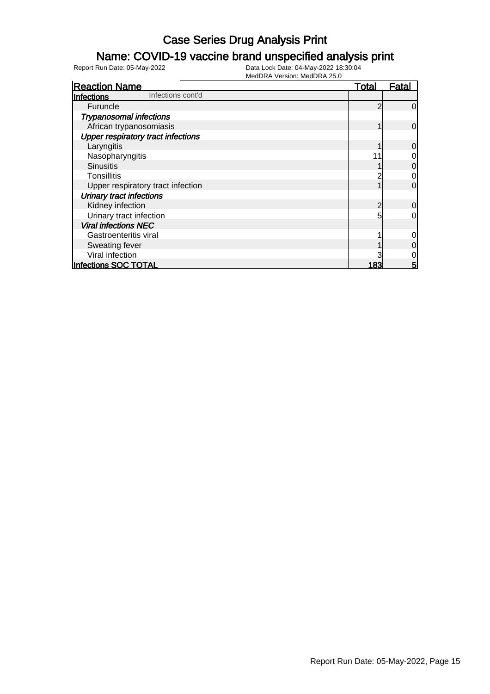### Name: COVID-19 vaccine brand unspecified analysis print

| <b>Reaction Name</b>                      | <u>Total</u> | Fatal    |
|-------------------------------------------|--------------|----------|
| Infections cont'd<br>Infections           |              |          |
| Furuncle                                  | c            | $\Omega$ |
| <b>Trypanosomal infections</b>            |              |          |
| African trypanosomiasis                   |              | 0        |
| <b>Upper respiratory tract infections</b> |              |          |
| Laryngitis                                |              | $\Omega$ |
| Nasopharyngitis                           |              | 0        |
| <b>Sinusitis</b>                          |              | 0        |
| <b>Tonsillitis</b>                        |              | 0        |
| Upper respiratory tract infection         |              | $\Omega$ |
| <b>Urinary tract infections</b>           |              |          |
| Kidney infection                          | 2            | 0        |
| Urinary tract infection                   |              | 0        |
| <b>Viral infections NEC</b>               |              |          |
| Gastroenteritis viral                     |              | 0        |
| Sweating fever                            |              | 0        |
| Viral infection                           |              | 0        |
| <b>Infections SOC TOTAL</b>               | 183          | 5        |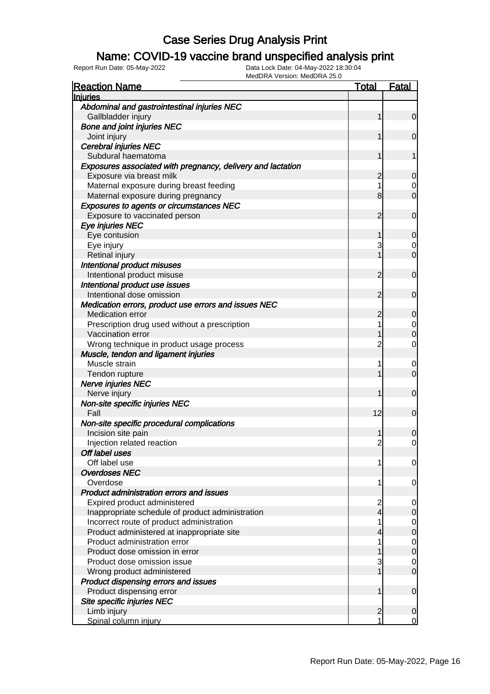#### Name: COVID-19 vaccine brand unspecified analysis print

| <b>Reaction Name</b>                                        | <u>Total</u>   | <b>Fatal</b>        |
|-------------------------------------------------------------|----------------|---------------------|
| <b>Injuries</b>                                             |                |                     |
| Abdominal and gastrointestinal injuries NEC                 |                |                     |
| Gallbladder injury                                          | 1              | $\overline{0}$      |
| <b>Bone and joint injuries NEC</b>                          |                |                     |
| Joint injury                                                | 1              | $\mathbf 0$         |
| <b>Cerebral injuries NEC</b>                                |                |                     |
| Subdural haematoma                                          | 1              | 1                   |
| Exposures associated with pregnancy, delivery and lactation |                |                     |
| Exposure via breast milk                                    | 2              | $\overline{0}$      |
| Maternal exposure during breast feeding                     | 1              | $\mathbf 0$         |
| Maternal exposure during pregnancy                          | 8              | $\overline{0}$      |
| <b>Exposures to agents or circumstances NEC</b>             |                |                     |
| Exposure to vaccinated person                               | 2              | $\mathbf 0$         |
| Eye injuries NEC                                            |                |                     |
| Eye contusion                                               | 1              | $\overline{0}$      |
| Eye injury                                                  | 3              | $\mathbf 0$         |
| Retinal injury                                              |                | $\overline{0}$      |
| Intentional product misuses                                 |                |                     |
| Intentional product misuse                                  | 2              | $\mathbf 0$         |
| Intentional product use issues                              |                |                     |
| Intentional dose omission                                   | 2              | $\mathbf 0$         |
| Medication errors, product use errors and issues NEC        |                |                     |
| <b>Medication error</b>                                     | 2              | 0                   |
| Prescription drug used without a prescription               | 1              | $\overline{0}$      |
| Vaccination error                                           |                | $\overline{0}$      |
| Wrong technique in product usage process                    | $\overline{2}$ | $\overline{0}$      |
| Muscle, tendon and ligament injuries                        |                |                     |
| Muscle strain                                               | 1              | $\mathbf 0$         |
| Tendon rupture                                              |                | $\overline{0}$      |
| Nerve injuries NEC                                          |                |                     |
| Nerve injury                                                | 1              | $\mathbf 0$         |
| Non-site specific injuries NEC                              |                |                     |
| Fall                                                        | 12             | $\mathbf 0$         |
| Non-site specific procedural complications                  |                |                     |
| Incision site pain                                          |                | 0                   |
| Injection related reaction                                  | $\overline{2}$ | $\overline{0}$      |
| Off label uses                                              |                |                     |
| Off label use                                               | 1              | $\overline{0}$      |
| <b>Overdoses NEC</b>                                        |                |                     |
| Overdose                                                    | 1              | 0                   |
| Product administration errors and issues                    |                |                     |
| Expired product administered                                | 2              | 0                   |
| Inappropriate schedule of product administration            | $\overline{4}$ | $\mathsf{O}\xspace$ |
| Incorrect route of product administration                   | 1              | $\overline{0}$      |
| Product administered at inappropriate site                  | 4              | $\pmb{0}$           |
| Product administration error                                |                | $\overline{0}$      |
| Product dose omission in error                              |                | $\mathbf 0$         |
| Product dose omission issue                                 | 3              | $\mathbf 0$         |
| Wrong product administered                                  | 1              | $\overline{0}$      |
| Product dispensing errors and issues                        |                |                     |
| Product dispensing error                                    | 1              | $\mathbf 0$         |
| Site specific injuries NEC                                  |                |                     |
| Limb injury                                                 | $\overline{2}$ | 0                   |
| Spinal column injury                                        | 1              | $\overline{0}$      |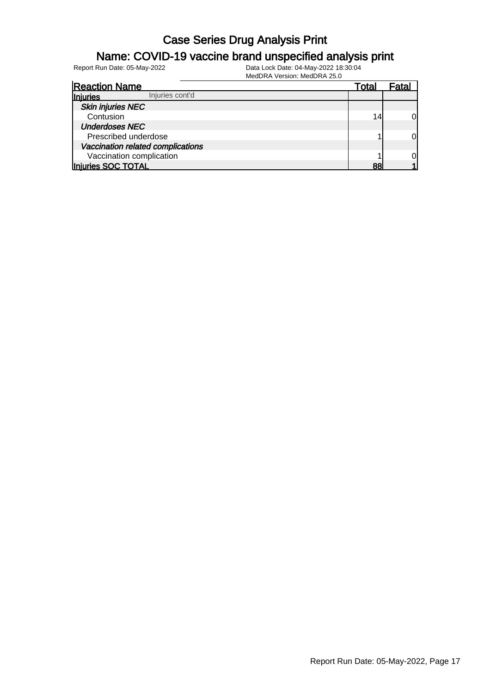### Name: COVID-19 vaccine brand unspecified analysis print

| <b>Reaction Name</b>              | Total | -atal |
|-----------------------------------|-------|-------|
| Injuries cont'd<br>Injuries       |       |       |
| <b>Skin injuries NEC</b>          |       |       |
| Contusion                         | 14    | 0l    |
| <b>Underdoses NEC</b>             |       |       |
| Prescribed underdose              |       | 0l    |
| Vaccination related complications |       |       |
| Vaccination complication          |       | 0     |
| Injuries SOC TOTAL                | 88    |       |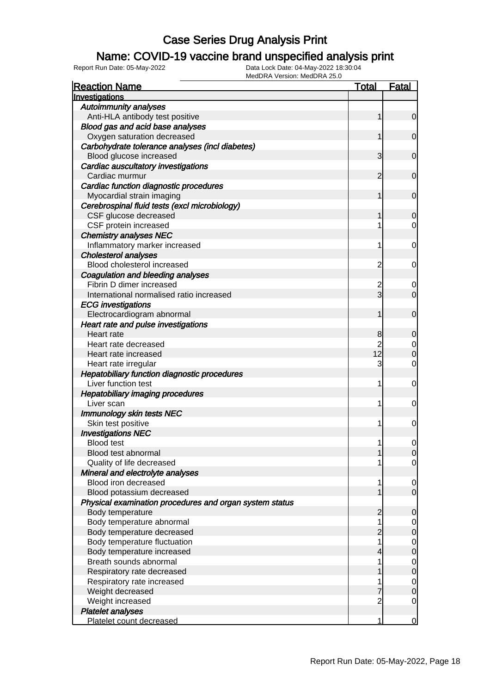### Name: COVID-19 vaccine brand unspecified analysis print

Report Run Date: 05-May-2022 Data Lock Date: 04-May-2022 18:30:04

MedDRA Version: MedDRA 25.0

| <b>Reaction Name</b>                                    | <b>Total</b>   | <b>Fatal</b>   |
|---------------------------------------------------------|----------------|----------------|
| Investigations                                          |                |                |
| <b>Autoimmunity analyses</b>                            |                |                |
| Anti-HLA antibody test positive                         | 1              | 0              |
| Blood gas and acid base analyses                        |                |                |
| Oxygen saturation decreased                             | 1              | 0              |
| Carbohydrate tolerance analyses (incl diabetes)         |                |                |
| Blood glucose increased                                 | 3              | 0              |
| Cardiac auscultatory investigations                     |                |                |
| Cardiac murmur                                          | 2              | 0              |
| Cardiac function diagnostic procedures                  |                |                |
| Myocardial strain imaging                               | 1              | 0              |
| Cerebrospinal fluid tests (excl microbiology)           |                |                |
| CSF glucose decreased                                   |                | 0              |
| CSF protein increased                                   |                | 0              |
| <b>Chemistry analyses NEC</b>                           |                |                |
| Inflammatory marker increased                           | 1              | 0              |
| <b>Cholesterol analyses</b>                             |                |                |
| Blood cholesterol increased                             | 2              | 0              |
| Coagulation and bleeding analyses                       |                |                |
| Fibrin D dimer increased                                | 2              | 0              |
| International normalised ratio increased                | 3              | 0              |
| <b>ECG</b> investigations                               |                |                |
| Electrocardiogram abnormal                              | 1              | 0              |
| Heart rate and pulse investigations                     |                |                |
| Heart rate                                              | 8              | 0              |
| Heart rate decreased                                    | $\overline{2}$ | 0              |
| Heart rate increased                                    | 12             | 0              |
| Heart rate irregular                                    | 3              | 0              |
| Hepatobiliary function diagnostic procedures            |                |                |
| Liver function test                                     | 1              | 0              |
| <b>Hepatobiliary imaging procedures</b>                 |                |                |
| Liver scan                                              | 1              | 0              |
| <b>Immunology skin tests NEC</b>                        |                |                |
| Skin test positive                                      | 1              | 0              |
| <b>Investigations NEC</b>                               |                |                |
| <b>Blood test</b>                                       | 1              | 0              |
| Blood test abnormal                                     |                | $\Omega$       |
| Quality of life decreased                               |                | $\mathbf 0$    |
| Mineral and electrolyte analyses                        |                |                |
| Blood iron decreased                                    | 1              | $\overline{0}$ |
| Blood potassium decreased                               |                | $\mathbf 0$    |
| Physical examination procedures and organ system status |                |                |
| Body temperature                                        | 2              | 0              |
| Body temperature abnormal                               |                | $\overline{0}$ |
| Body temperature decreased                              | 2              | 0              |
| Body temperature fluctuation                            | 1              | $\mathbf 0$    |
| Body temperature increased                              | 4              | $\mathbf 0$    |
| Breath sounds abnormal                                  |                | $\mathbf 0$    |
| Respiratory rate decreased                              |                | $\mathbf 0$    |
| Respiratory rate increased                              |                | $\mathbf 0$    |
| Weight decreased                                        |                | 0              |
| Weight increased                                        | $\overline{2}$ | 0              |
| <b>Platelet analyses</b>                                |                |                |
| Platelet count decreased                                | 1              | $\overline{0}$ |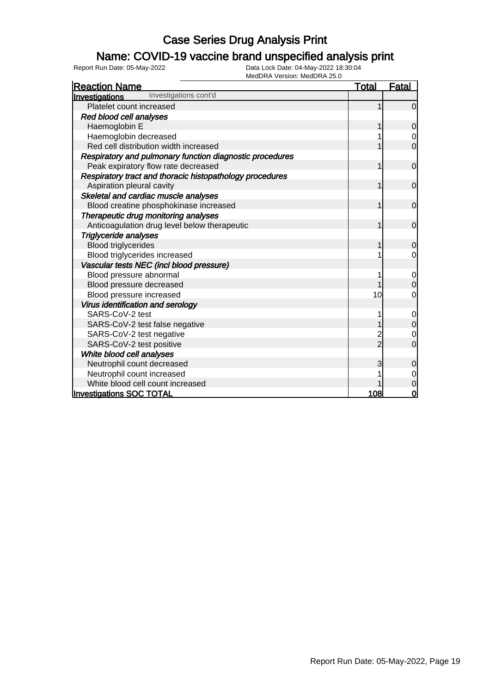### Name: COVID-19 vaccine brand unspecified analysis print

| IVIEUURA VEISIOII. IVIEUURA ZO.U<br><b>Reaction Name</b> | <u>Total</u>   | <b>Fatal</b>   |
|----------------------------------------------------------|----------------|----------------|
| Investigations cont'd<br><b>Investigations</b>           |                |                |
| Platelet count increased                                 | 1              | $\Omega$       |
| Red blood cell analyses                                  |                |                |
| Haemoglobin E                                            |                | $\overline{0}$ |
| Haemoglobin decreased                                    |                | 0              |
| Red cell distribution width increased                    |                | $\Omega$       |
| Respiratory and pulmonary function diagnostic procedures |                |                |
| Peak expiratory flow rate decreased                      | 1              | $\overline{0}$ |
| Respiratory tract and thoracic histopathology procedures |                |                |
| Aspiration pleural cavity                                |                | $\mathbf 0$    |
| Skeletal and cardiac muscle analyses                     |                |                |
| Blood creatine phosphokinase increased                   |                | $\mathbf 0$    |
| Therapeutic drug monitoring analyses                     |                |                |
| Anticoagulation drug level below therapeutic             |                | $\mathbf 0$    |
| <b>Triglyceride analyses</b>                             |                |                |
| <b>Blood triglycerides</b>                               |                | $\mathbf 0$    |
| Blood triglycerides increased                            |                | 0              |
| Vascular tests NEC (incl blood pressure)                 |                |                |
| Blood pressure abnormal                                  |                | 0              |
| Blood pressure decreased                                 |                | $\Omega$       |
| Blood pressure increased                                 | 10             | 0              |
| Virus identification and serology                        |                |                |
| SARS-CoV-2 test                                          |                | $\mathbf 0$    |
| SARS-CoV-2 test false negative                           |                | $\overline{0}$ |
| SARS-CoV-2 test negative                                 | 2              | 0              |
| SARS-CoV-2 test positive                                 | $\overline{2}$ | 0              |
| White blood cell analyses                                |                |                |
| Neutrophil count decreased                               | 3              | 0              |
| Neutrophil count increased                               |                | 0              |
| White blood cell count increased                         |                | 0              |
| <b>Investigations SOC TOTAL</b>                          | 108            | 0              |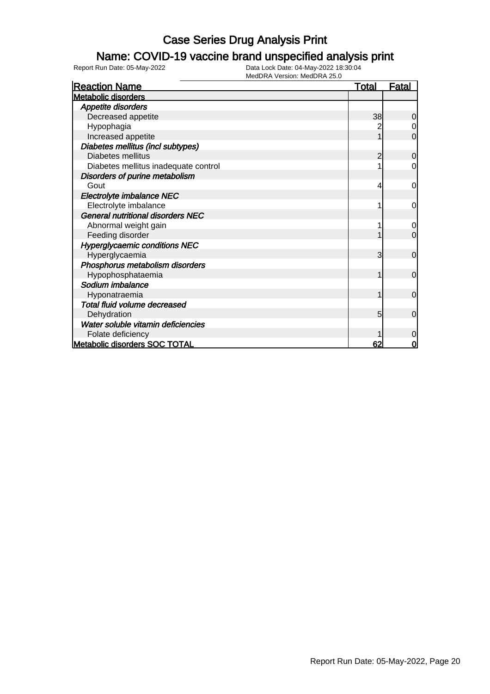### Name: COVID-19 vaccine brand unspecified analysis print

| <b>Reaction Name</b>                     | <b>Total</b>   | <u>Fatal</u>   |
|------------------------------------------|----------------|----------------|
| <b>Metabolic disorders</b>               |                |                |
| <b>Appetite disorders</b>                |                |                |
| Decreased appetite                       | 38             | 0              |
| Hypophagia                               |                | 0              |
| Increased appetite                       |                | $\overline{0}$ |
| Diabetes mellitus (incl subtypes)        |                |                |
| Diabetes mellitus                        | $\overline{2}$ | $\mathbf 0$    |
| Diabetes mellitus inadequate control     |                | $\overline{0}$ |
| Disorders of purine metabolism           |                |                |
| Gout                                     | 4              | 0              |
| Electrolyte imbalance NEC                |                |                |
| Electrolyte imbalance                    |                | 0              |
| <b>General nutritional disorders NEC</b> |                |                |
| Abnormal weight gain                     |                | 0              |
| Feeding disorder                         |                | $\overline{0}$ |
| <b>Hyperglycaemic conditions NEC</b>     |                |                |
| Hyperglycaemia                           | 3              | $\overline{0}$ |
| Phosphorus metabolism disorders          |                |                |
| Hypophosphataemia                        |                | $\overline{0}$ |
| Sodium imbalance                         |                |                |
| Hyponatraemia                            |                | $\mathbf 0$    |
| Total fluid volume decreased             |                |                |
| Dehydration                              | 5              | $\mathbf 0$    |
| Water soluble vitamin deficiencies       |                |                |
| Folate deficiency                        |                | $\Omega$       |
| <b>Metabolic disorders SOC TOTAL</b>     | 62             | $\Omega$       |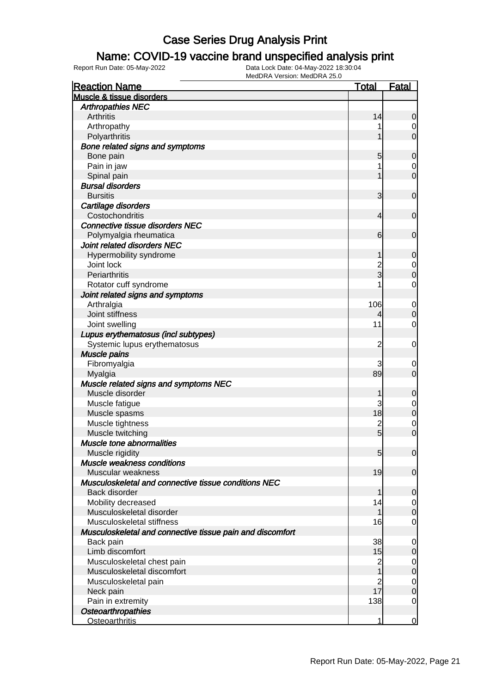#### Name: COVID-19 vaccine brand unspecified analysis print

| <b>Reaction Name</b>                                      | <b>Total</b>   | <b>Fatal</b>     |
|-----------------------------------------------------------|----------------|------------------|
| Muscle & tissue disorders                                 |                |                  |
| <b>Arthropathies NEC</b>                                  |                |                  |
| Arthritis                                                 | 14             | 0                |
| Arthropathy                                               |                | 0                |
| Polyarthritis                                             |                | $\overline{0}$   |
| Bone related signs and symptoms                           |                |                  |
| Bone pain                                                 | 5              | $\mathbf 0$      |
| Pain in jaw                                               |                | 0                |
| Spinal pain                                               |                | $\mathbf 0$      |
| <b>Bursal disorders</b>                                   |                |                  |
| <b>Bursitis</b>                                           | 3              | $\mathbf 0$      |
| Cartilage disorders                                       |                |                  |
| Costochondritis                                           | 4              | $\mathbf 0$      |
| <b>Connective tissue disorders NEC</b>                    |                |                  |
| Polymyalgia rheumatica                                    | 6              | $\mathbf 0$      |
| Joint related disorders NEC                               |                |                  |
| Hypermobility syndrome                                    | 1              | $\mathbf 0$      |
| Joint lock                                                |                | 0                |
| Periarthritis                                             | 2<br>3         | $\mathbf 0$      |
| Rotator cuff syndrome                                     |                | 0                |
| Joint related signs and symptoms                          |                |                  |
| Arthralgia                                                | 106            | $\mathbf 0$      |
| Joint stiffness                                           |                | $\mathbf 0$      |
| Joint swelling                                            | 11             | $\mathbf 0$      |
| Lupus erythematosus (incl subtypes)                       |                |                  |
| Systemic lupus erythematosus                              | $\overline{c}$ | $\mathbf 0$      |
| <b>Muscle pains</b>                                       |                |                  |
| Fibromyalgia                                              | 3              | 0                |
| Myalgia                                                   | 89             | $\mathbf 0$      |
| Muscle related signs and symptoms NEC                     |                |                  |
| Muscle disorder                                           |                | $\mathbf 0$      |
| Muscle fatigue                                            | 3              | 0                |
| Muscle spasms                                             | 18             | $\mathbf 0$      |
| Muscle tightness                                          | $\overline{c}$ | $\mathbf 0$      |
| Muscle twitching                                          | $\overline{5}$ | $\overline{0}$   |
| <b>Muscle tone abnormalities</b>                          |                |                  |
| Muscle rigidity                                           | 5 <sub>5</sub> | 0                |
| Muscle weakness conditions                                |                |                  |
| Muscular weakness                                         | 19             | $\mathbf 0$      |
| Musculoskeletal and connective tissue conditions NEC      |                |                  |
| Back disorder                                             | 1              | $\mathbf 0$      |
| Mobility decreased                                        | 14             | 0                |
| Musculoskeletal disorder                                  | 1              | $\mathbf 0$      |
| Musculoskeletal stiffness                                 | 16             | $\overline{0}$   |
| Musculoskeletal and connective tissue pain and discomfort |                |                  |
| Back pain                                                 | 38             | 0                |
| Limb discomfort                                           | 15             | $\mathbf 0$      |
| Musculoskeletal chest pain                                | $\overline{c}$ | $\overline{0}$   |
| Musculoskeletal discomfort                                | 1              | $\boldsymbol{0}$ |
| Musculoskeletal pain                                      | $\overline{c}$ | $\overline{0}$   |
| Neck pain                                                 | 17             | $\boldsymbol{0}$ |
| Pain in extremity                                         | 138            | $\overline{0}$   |
| <b>Osteoarthropathies</b>                                 |                |                  |
| <b>Osteoarthritis</b>                                     | 1              | $\mathbf 0$      |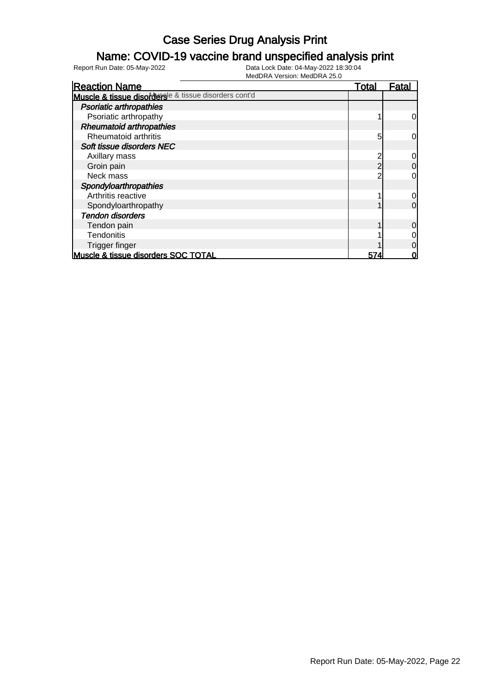#### Name: COVID-19 vaccine brand unspecified analysis print

| <b>Reaction Name</b>                                  | <u>Total</u> | Fatal          |
|-------------------------------------------------------|--------------|----------------|
| Muscle & tissue disordersle & tissue disorders cont'd |              |                |
| <b>Psoriatic arthropathies</b>                        |              |                |
| Psoriatic arthropathy                                 |              | $\overline{0}$ |
| <b>Rheumatoid arthropathies</b>                       |              |                |
| Rheumatoid arthritis                                  | 5            | $\overline{0}$ |
| Soft tissue disorders NEC                             |              |                |
| Axillary mass                                         | 2            | $\overline{0}$ |
| Groin pain                                            | 2            | $\overline{0}$ |
| Neck mass                                             |              | $\overline{0}$ |
| Spondyloarthropathies                                 |              |                |
| Arthritis reactive                                    |              | $\overline{0}$ |
| Spondyloarthropathy                                   |              | $\overline{0}$ |
| <b>Tendon disorders</b>                               |              |                |
| Tendon pain                                           |              | $\overline{0}$ |
| <b>Tendonitis</b>                                     |              | $\overline{0}$ |
| Trigger finger                                        |              | $\overline{0}$ |
| Muscle & tissue disorders SOC TOTAL                   | 574          | 0              |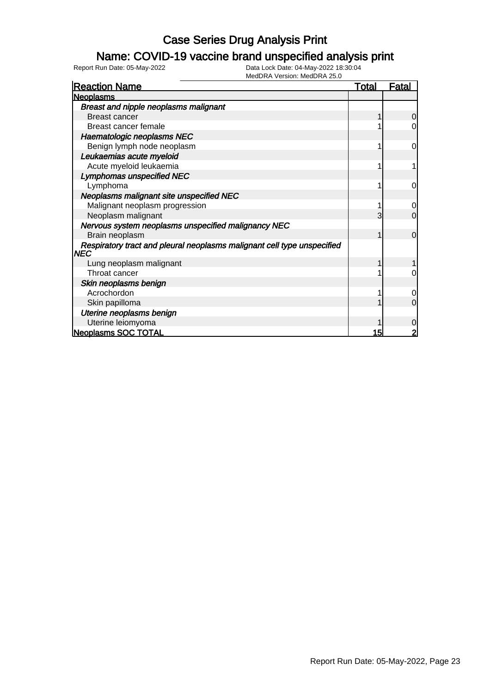### Name: COVID-19 vaccine brand unspecified analysis print

| <b>Reaction Name</b>                                                                  | <u>Total</u> | <b>Fatal</b>   |
|---------------------------------------------------------------------------------------|--------------|----------------|
| <b>Neoplasms</b>                                                                      |              |                |
| Breast and nipple neoplasms malignant                                                 |              |                |
| <b>Breast cancer</b>                                                                  |              | $\overline{0}$ |
| Breast cancer female                                                                  |              | 0              |
| Haematologic neoplasms NEC                                                            |              |                |
| Benign lymph node neoplasm                                                            |              | 0              |
| Leukaemias acute myeloid                                                              |              |                |
| Acute myeloid leukaemia                                                               |              |                |
| Lymphomas unspecified NEC                                                             |              |                |
| Lymphoma                                                                              |              | 0              |
| Neoplasms malignant site unspecified NEC                                              |              |                |
| Malignant neoplasm progression                                                        |              | $\mathbf 0$    |
| Neoplasm malignant                                                                    | 3            | $\overline{0}$ |
| Nervous system neoplasms unspecified malignancy NEC                                   |              |                |
| Brain neoplasm                                                                        |              | $\overline{0}$ |
| Respiratory tract and pleural neoplasms malignant cell type unspecified<br><b>NEC</b> |              |                |
| Lung neoplasm malignant                                                               |              |                |
| Throat cancer                                                                         |              | $\Omega$       |
| Skin neoplasms benign                                                                 |              |                |
| Acrochordon                                                                           |              | 0              |
| Skin papilloma                                                                        |              | $\overline{0}$ |
| Uterine neoplasms benign                                                              |              |                |
| Uterine leiomyoma                                                                     |              | $\mathbf 0$    |
| Neoplasms SOC TOTAL                                                                   | 15           | $\overline{2}$ |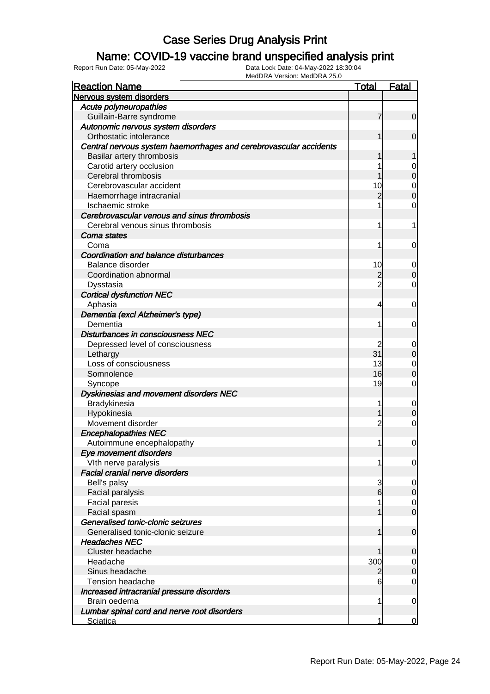### Name: COVID-19 vaccine brand unspecified analysis print

Report Run Date: 05-May-2022 Data Lock Date: 04-May-2022 18:30:04

MedDRA Version: MedDRA 25.0

| <b>Reaction Name</b>                                              | <b>Total</b>   | Fatal            |
|-------------------------------------------------------------------|----------------|------------------|
| Nervous system disorders                                          |                |                  |
| Acute polyneuropathies                                            |                |                  |
| Guillain-Barre syndrome                                           | 7              | $\overline{0}$   |
| Autonomic nervous system disorders                                |                |                  |
| Orthostatic intolerance                                           |                | $\mathbf 0$      |
| Central nervous system haemorrhages and cerebrovascular accidents |                |                  |
| Basilar artery thrombosis                                         |                | 1                |
| Carotid artery occlusion                                          |                | 0                |
| Cerebral thrombosis                                               |                | $\boldsymbol{0}$ |
| Cerebrovascular accident                                          | 10             | $\mathbf 0$      |
| Haemorrhage intracranial                                          | 2              | $\overline{0}$   |
| Ischaemic stroke                                                  |                | 0                |
| Cerebrovascular venous and sinus thrombosis                       |                |                  |
| Cerebral venous sinus thrombosis                                  | 1              | 1                |
| Coma states                                                       |                |                  |
| Coma                                                              | 1              | $\mathbf 0$      |
| <b>Coordination and balance disturbances</b>                      |                |                  |
| Balance disorder                                                  | 10             | 0                |
| Coordination abnormal                                             | $\overline{c}$ | $\mathbf 0$      |
| Dysstasia                                                         | $\overline{2}$ | $\overline{0}$   |
| <b>Cortical dysfunction NEC</b>                                   |                |                  |
| Aphasia                                                           | 4              | $\mathbf 0$      |
| Dementia (excl Alzheimer's type)                                  |                |                  |
| Dementia                                                          | 1              | $\mathbf 0$      |
| Disturbances in consciousness NEC                                 |                |                  |
| Depressed level of consciousness                                  |                | 0                |
| Lethargy                                                          | 31             | $\mathbf 0$      |
| Loss of consciousness                                             | 13             | $\mathbf 0$      |
| Somnolence                                                        | 16             | $\overline{0}$   |
| Syncope                                                           | 19             | $\overline{0}$   |
| Dyskinesias and movement disorders NEC                            |                |                  |
| Bradykinesia                                                      |                | $\mathbf 0$      |
| Hypokinesia                                                       |                | $\boldsymbol{0}$ |
| Movement disorder                                                 | $\overline{c}$ | $\mathbf 0$      |
| <b>Encephalopathies NEC</b>                                       |                |                  |
| Autoimmune encephalopathy                                         | 1              | $\mathbf 0$      |
| Eye movement disorders                                            |                |                  |
| VIth nerve paralysis                                              | 1              | $\overline{0}$   |
| <b>Facial cranial nerve disorders</b>                             |                |                  |
| Bell's palsy                                                      | 3              | $\overline{0}$   |
| Facial paralysis<br><b>Facial paresis</b>                         | 6              | $\mathbf 0$      |
|                                                                   |                | 0<br>$\mathbf 0$ |
| Facial spasm<br>Generalised tonic-clonic seizures                 |                |                  |
| Generalised tonic-clonic seizure                                  | 1              | $\mathbf 0$      |
| <b>Headaches NEC</b>                                              |                |                  |
| Cluster headache                                                  |                | 0                |
| Headache                                                          | 300            | 0                |
| Sinus headache                                                    | 2              | $\boldsymbol{0}$ |
| <b>Tension headache</b>                                           | 6              | $\overline{0}$   |
| Increased intracranial pressure disorders                         |                |                  |
| Brain oedema                                                      | 1              | $\mathbf 0$      |
| Lumbar spinal cord and nerve root disorders                       |                |                  |
| Sciatica                                                          | 1              | $\overline{0}$   |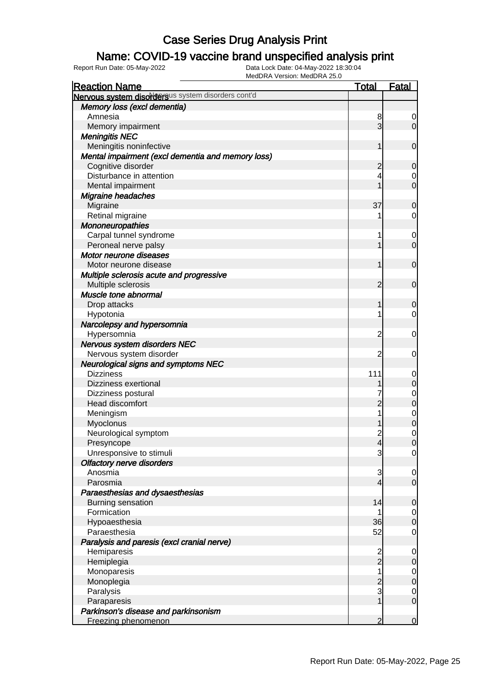#### Name: COVID-19 vaccine brand unspecified analysis print

| <b>Reaction Name</b>                               | <b>Total</b>   | <b>Fatal</b>                     |
|----------------------------------------------------|----------------|----------------------------------|
| Nervous system disordersus system disorders cont'd |                |                                  |
| Memory loss (excl dementia)                        |                |                                  |
| Amnesia                                            | 8              | 0                                |
| Memory impairment                                  | 3              | $\overline{0}$                   |
| <b>Meningitis NEC</b>                              |                |                                  |
| Meningitis noninfective                            | 1              | $\mathbf 0$                      |
| Mental impairment (excl dementia and memory loss)  |                |                                  |
| Cognitive disorder                                 | $\overline{c}$ | $\mathbf 0$                      |
| Disturbance in attention                           | 4              | 0                                |
| Mental impairment                                  |                | $\mathbf 0$                      |
| Migraine headaches                                 |                |                                  |
| Migraine                                           | 37             | $\mathbf 0$                      |
| Retinal migraine                                   |                | $\overline{0}$                   |
| Mononeuropathies                                   |                |                                  |
| Carpal tunnel syndrome                             | 1              | $\mathbf 0$                      |
| Peroneal nerve palsy                               |                | $\mathbf 0$                      |
| Motor neurone diseases                             |                |                                  |
| Motor neurone disease                              | 1              | $\mathbf 0$                      |
| Multiple sclerosis acute and progressive           |                |                                  |
| Multiple sclerosis                                 | 2              | $\mathbf 0$                      |
| Muscle tone abnormal                               |                |                                  |
| Drop attacks                                       | 1              | $\mathbf 0$                      |
| Hypotonia                                          |                | $\overline{0}$                   |
| Narcolepsy and hypersomnia                         |                |                                  |
| Hypersomnia                                        | $\overline{c}$ | $\mathbf 0$                      |
| Nervous system disorders NEC                       |                |                                  |
| Nervous system disorder                            | 2              | 0                                |
| <b>Neurological signs and symptoms NEC</b>         |                |                                  |
| <b>Dizziness</b>                                   | 111            | $\mathbf 0$                      |
| Dizziness exertional                               |                | $\mathbf 0$                      |
| Dizziness postural                                 |                |                                  |
| Head discomfort                                    | $\overline{2}$ | $\begin{matrix}0\\0\end{matrix}$ |
| Meningism                                          |                |                                  |
| Myoclonus                                          |                | $\begin{matrix}0\\0\end{matrix}$ |
| Neurological symptom                               | $\overline{c}$ | $\begin{matrix}0\\0\end{matrix}$ |
| Presyncope                                         | $\overline{4}$ |                                  |
| Unresponsive to stimuli                            | 3              | $\overline{0}$                   |
| <b>Olfactory nerve disorders</b>                   |                |                                  |
| Anosmia                                            | 3              | $\overline{0}$                   |
| Parosmia                                           | $\overline{4}$ | $\overline{0}$                   |
| Paraesthesias and dysaesthesias                    |                |                                  |
| Burning sensation                                  | 14             | $\mathbf 0$                      |
| Formication                                        | 1              | $\overline{0}$                   |
| Hypoaesthesia                                      | 36             | $\pmb{0}$                        |
| Paraesthesia                                       | 52             | $\mathbf 0$                      |
| Paralysis and paresis (excl cranial nerve)         |                |                                  |
| Hemiparesis                                        | $\overline{c}$ | $\mathbf 0$                      |
| Hemiplegia                                         | $\overline{2}$ | $\mathbf 0$                      |
| Monoparesis                                        | 1              | $\overline{0}$                   |
| Monoplegia                                         | $\overline{c}$ | $\pmb{0}$                        |
| Paralysis                                          | $\mathbf{3}$   | $\overline{0}$                   |
| Paraparesis                                        | 1              | $\mathbf 0$                      |
| Parkinson's disease and parkinsonism               |                |                                  |
| Freezing phenomenon                                | $\overline{2}$ | $\overline{0}$                   |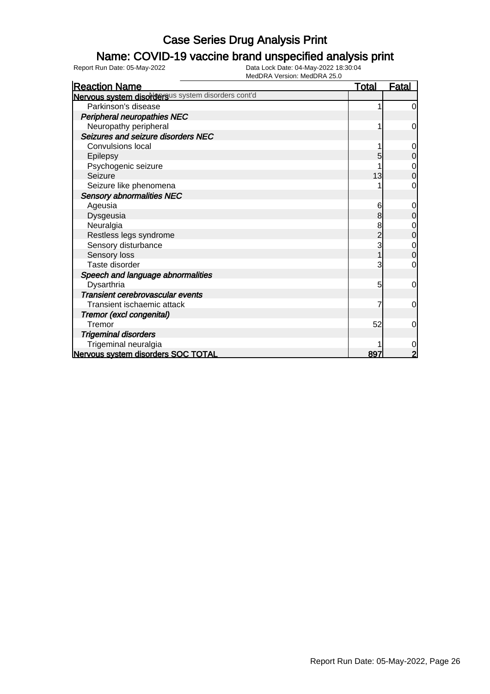### Name: COVID-19 vaccine brand unspecified analysis print

| <b>Reaction Name</b>                               | <u>Total</u>   | <u>Fatal</u>     |
|----------------------------------------------------|----------------|------------------|
| Nervous system disordersus system disorders cont'd |                |                  |
| Parkinson's disease                                |                | $\overline{0}$   |
| <b>Peripheral neuropathies NEC</b>                 |                |                  |
| Neuropathy peripheral                              |                | 0                |
| Seizures and seizure disorders NEC                 |                |                  |
| Convulsions local                                  |                | 0                |
| Epilepsy                                           | 5              | $\boldsymbol{0}$ |
| Psychogenic seizure                                |                | $\mathbf{0}$     |
| Seizure                                            | 13             | $\overline{0}$   |
| Seizure like phenomena                             |                | $\mathbf 0$      |
| <b>Sensory abnormalities NEC</b>                   |                |                  |
| Ageusia                                            | 6              | 0                |
| Dysgeusia                                          | 8              | $\mathbf 0$      |
| Neuralgia                                          | 8              | $\mathbf 0$      |
| Restless legs syndrome                             | $\overline{2}$ | $\mathbf 0$      |
| Sensory disturbance                                | 3              | $\mathbf 0$      |
| Sensory loss                                       |                | $\overline{0}$   |
| Taste disorder                                     | 3              | 0                |
| Speech and language abnormalities                  |                |                  |
| Dysarthria                                         | 5              | 0                |
| Transient cerebrovascular events                   |                |                  |
| Transient ischaemic attack                         |                | 0                |
| Tremor (excl congenital)                           |                |                  |
| Tremor                                             | 52             | 0                |
| <b>Trigeminal disorders</b>                        |                |                  |
| Trigeminal neuralgia                               |                | 0                |
| Nervous system disorders SOC TOTAL                 | 897            | 2                |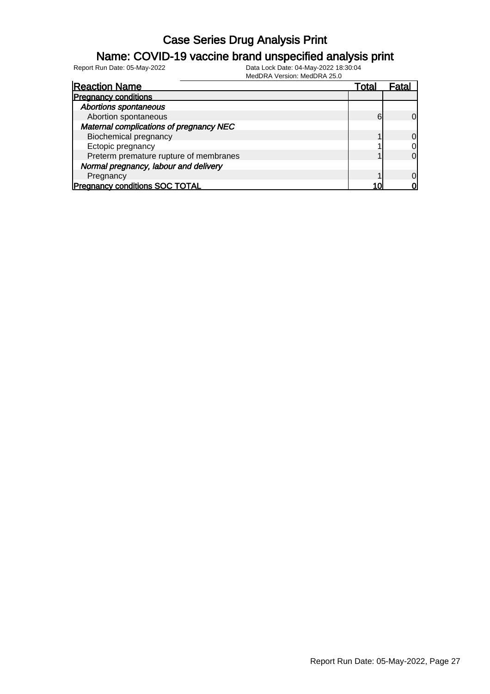### Name: COVID-19 vaccine brand unspecified analysis print

Report Run Date: 05-May-2022 Data Lock Date: 04-May-2022 18:30:04

MedDRA Version: MedDRA 25.0

| <b>Reaction Name</b>                    | Total |                |
|-----------------------------------------|-------|----------------|
| <b>Pregnancy conditions</b>             |       |                |
| <b>Abortions spontaneous</b>            |       |                |
| Abortion spontaneous                    | 6     | $\Omega$       |
| Maternal complications of pregnancy NEC |       |                |
| <b>Biochemical pregnancy</b>            |       | $\overline{0}$ |
| Ectopic pregnancy                       |       | $\overline{0}$ |
| Preterm premature rupture of membranes  |       | $\overline{0}$ |
| Normal pregnancy, labour and delivery   |       |                |
| Pregnancy                               |       | $\overline{0}$ |
| <b>Pregnancy conditions SOC TOTAL</b>   |       | വ              |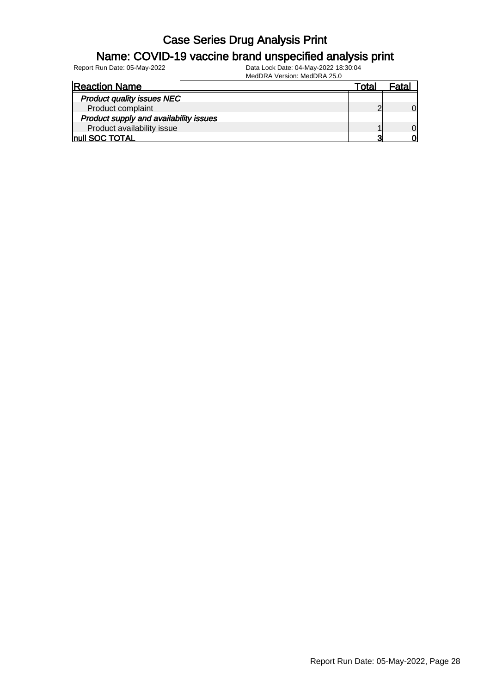#### Name: COVID-19 vaccine brand unspecified analysis print

| <b>Reaction Name</b>                   | otal |  |
|----------------------------------------|------|--|
| <b>Product quality issues NEC</b>      |      |  |
| Product complaint                      |      |  |
| Product supply and availability issues |      |  |
| Product availability issue             |      |  |
| <b>Inull SOC TOTAL</b>                 | ≏    |  |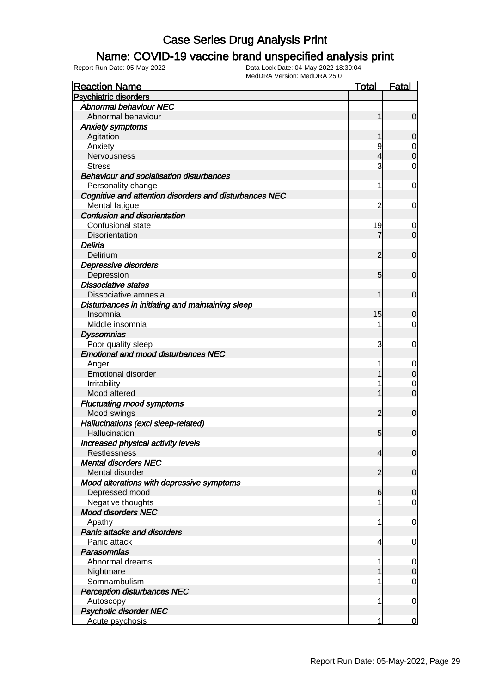#### Name: COVID-19 vaccine brand unspecified analysis print

| <b>Reaction Name</b>                                   | <u>Total</u>   | <b>Fatal</b>     |
|--------------------------------------------------------|----------------|------------------|
| <b>Psychiatric disorders</b>                           |                |                  |
| <b>Abnormal behaviour NEC</b>                          |                |                  |
| Abnormal behaviour                                     | 1              | $\mathbf 0$      |
| <b>Anxiety symptoms</b>                                |                |                  |
| Agitation                                              |                | 0                |
| Anxiety                                                | 9              | $\mathbf 0$      |
| Nervousness                                            | 4              | $\mathbf 0$      |
| <b>Stress</b>                                          | 3              | $\mathbf 0$      |
| <b>Behaviour and socialisation disturbances</b>        |                |                  |
| Personality change                                     | 1              | 0                |
| Cognitive and attention disorders and disturbances NEC |                |                  |
| Mental fatigue                                         | 2              | 0                |
| Confusion and disorientation                           |                |                  |
| Confusional state                                      | 19             | 0                |
| Disorientation                                         |                | $\mathbf 0$      |
| Deliria                                                |                |                  |
| Delirium                                               | 2              | $\mathbf 0$      |
| Depressive disorders                                   |                |                  |
| Depression                                             | 5              | $\mathbf 0$      |
| <b>Dissociative states</b>                             |                |                  |
| Dissociative amnesia                                   | 1              |                  |
|                                                        |                | $\mathbf 0$      |
| Disturbances in initiating and maintaining sleep       |                |                  |
| Insomnia                                               | 15             | 0                |
| Middle insomnia                                        | 1              | 0                |
| <b>Dyssomnias</b>                                      |                |                  |
| Poor quality sleep                                     | 3              | 0                |
| <b>Emotional and mood disturbances NEC</b>             |                |                  |
| Anger                                                  | 1              | 0                |
| <b>Emotional disorder</b>                              |                | $\boldsymbol{0}$ |
| Irritability                                           | 1              | $\mathbf 0$      |
| Mood altered                                           | 1              | $\overline{0}$   |
| <b>Fluctuating mood symptoms</b>                       |                |                  |
| Mood swings                                            | $\overline{2}$ | $\mathbf 0$      |
| Hallucinations (excl sleep-related)                    |                |                  |
| Hallucination                                          | 5              | $\mathbf 0$      |
| Increased physical activity levels                     |                |                  |
| Restlessness                                           | 4              | $\overline{0}$   |
| <b>Mental disorders NEC</b>                            |                |                  |
| Mental disorder                                        | $\overline{2}$ | $\mathbf 0$      |
| Mood alterations with depressive symptoms              |                |                  |
| Depressed mood                                         | 6              | $\mathbf 0$      |
| Negative thoughts                                      |                | $\overline{0}$   |
| <b>Mood disorders NEC</b>                              |                |                  |
| Apathy                                                 | 1              | $\mathbf 0$      |
| Panic attacks and disorders                            |                |                  |
| Panic attack                                           | 4              | $\mathbf 0$      |
| <b>Parasomnias</b>                                     |                |                  |
| Abnormal dreams                                        | 1              | $\mathbf 0$      |
| Nightmare                                              |                | $\mathbf 0$      |
| Somnambulism                                           |                | 0                |
| <b>Perception disturbances NEC</b>                     |                |                  |
| Autoscopy                                              | 1              | $\mathbf 0$      |
| <b>Psychotic disorder NEC</b>                          |                |                  |
| Acute psychosis                                        | 1              | 0                |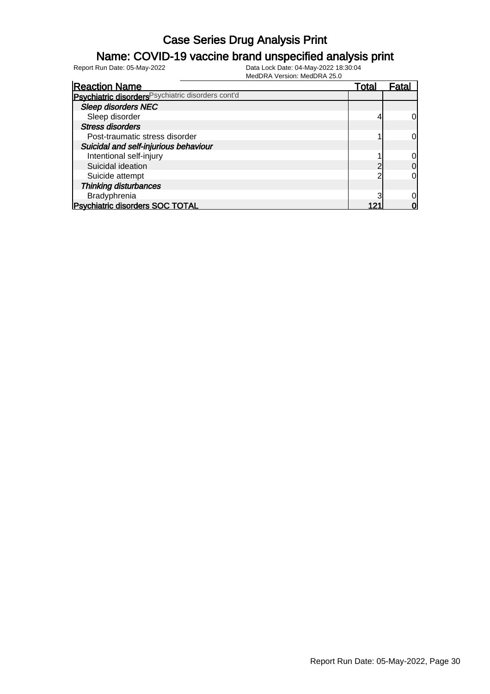### Name: COVID-19 vaccine brand unspecified analysis print

| <b>Reaction Name</b>                               | Total | Fatal |
|----------------------------------------------------|-------|-------|
| Psychiatric disorders Psychiatric disorders cont'd |       |       |
| <b>Sleep disorders NEC</b>                         |       |       |
| Sleep disorder                                     |       |       |
| <b>Stress disorders</b>                            |       |       |
| Post-traumatic stress disorder                     |       |       |
| Suicidal and self-injurious behaviour              |       |       |
| Intentional self-injury                            |       |       |
| Suicidal ideation                                  |       | 0     |
| Suicide attempt                                    |       |       |
| Thinking disturbances                              |       |       |
| Bradyphrenia                                       |       |       |
| <b>Psychiatric disorders SOC TOTAL</b>             |       |       |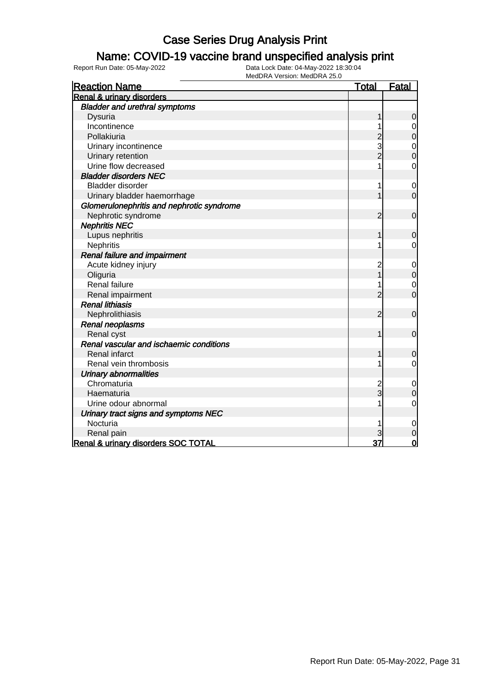#### Name: COVID-19 vaccine brand unspecified analysis print

| <b>Reaction Name</b>                      | <b>Total</b>   | <b>Fatal</b>   |
|-------------------------------------------|----------------|----------------|
| <b>Renal &amp; urinary disorders</b>      |                |                |
| <b>Bladder and urethral symptoms</b>      |                |                |
| Dysuria                                   | 1              | 0              |
| Incontinence                              |                | $\mathbf 0$    |
| Pollakiuria                               | $\overline{c}$ | $\mathbf 0$    |
| Urinary incontinence                      | 3              | $\mathbf 0$    |
| Urinary retention                         | $\overline{c}$ | $\overline{0}$ |
| Urine flow decreased                      |                | $\mathbf 0$    |
| <b>Bladder disorders NEC</b>              |                |                |
| Bladder disorder                          | 1              | $\mathbf 0$    |
| Urinary bladder haemorrhage               | 1              | $\mathbf 0$    |
| Glomerulonephritis and nephrotic syndrome |                |                |
| Nephrotic syndrome                        | 2              | $\mathbf 0$    |
| <b>Nephritis NEC</b>                      |                |                |
| Lupus nephritis                           | 1              | $\mathbf 0$    |
| Nephritis                                 | 1              | $\mathbf 0$    |
| Renal failure and impairment              |                |                |
| Acute kidney injury                       | $\overline{c}$ | $\mathbf 0$    |
| Oliguria                                  |                | $\mathbf 0$    |
| Renal failure                             | 1              | $\mathbf 0$    |
| Renal impairment                          | $\overline{2}$ | $\overline{0}$ |
| <b>Renal lithiasis</b>                    |                |                |
| Nephrolithiasis                           | $\overline{2}$ | $\mathbf 0$    |
| <b>Renal neoplasms</b>                    |                |                |
| Renal cyst                                | 1              | $\mathbf 0$    |
| Renal vascular and ischaemic conditions   |                |                |
| Renal infarct                             | 1              | $\mathbf 0$    |
| Renal vein thrombosis                     | 1              | $\mathbf 0$    |
| <b>Urinary abnormalities</b>              |                |                |
| Chromaturia                               | $\overline{c}$ | $\mathbf 0$    |
| Haematuria                                | $\overline{3}$ | $\mathbf 0$    |
| Urine odour abnormal                      | 1              | $\overline{0}$ |
| Urinary tract signs and symptoms NEC      |                |                |
| Nocturia                                  |                | $\mathbf 0$    |
| Renal pain                                |                | $\overline{0}$ |
| Renal & urinary disorders SOC TOTAL       | 37             | $\overline{0}$ |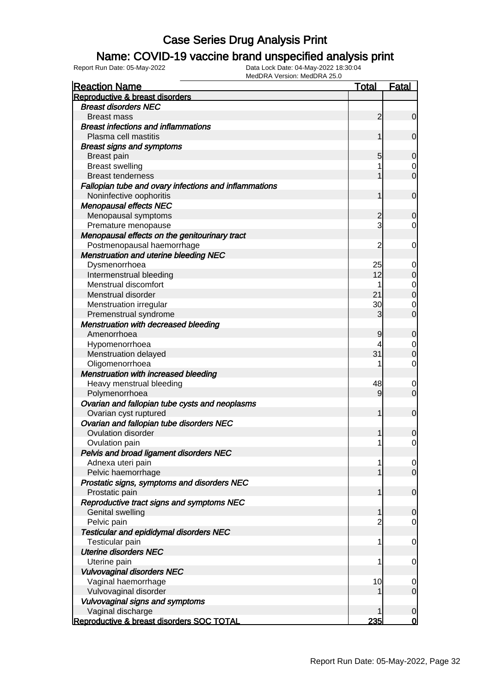### Name: COVID-19 vaccine brand unspecified analysis print

| <b>Reaction Name</b>                                  | <b>Total</b>   | Fatal                                |
|-------------------------------------------------------|----------------|--------------------------------------|
| Reproductive & breast disorders                       |                |                                      |
| <b>Breast disorders NEC</b>                           |                |                                      |
| <b>Breast mass</b>                                    | $\overline{2}$ | $\overline{0}$                       |
| <b>Breast infections and inflammations</b>            |                |                                      |
| Plasma cell mastitis                                  | 1              | $\mathbf 0$                          |
| <b>Breast signs and symptoms</b>                      |                |                                      |
| <b>Breast pain</b>                                    | 5              | $\mathbf 0$                          |
| <b>Breast swelling</b>                                |                | $\overline{0}$                       |
| <b>Breast tenderness</b>                              |                | $\mathbf 0$                          |
| Fallopian tube and ovary infections and inflammations |                |                                      |
| Noninfective oophoritis                               | 1              | $\mathbf 0$                          |
| <b>Menopausal effects NEC</b>                         |                |                                      |
| Menopausal symptoms                                   | $\overline{c}$ | $\mathbf 0$                          |
| Premature menopause                                   | 3              | $\overline{0}$                       |
| Menopausal effects on the genitourinary tract         |                |                                      |
| Postmenopausal haemorrhage                            | 2              | 0                                    |
| <b>Menstruation and uterine bleeding NEC</b>          |                |                                      |
|                                                       | 25             |                                      |
| Dysmenorrhoea                                         | 12             | 0                                    |
| Intermenstrual bleeding                               |                | $\pmb{0}$                            |
| Menstrual discomfort                                  |                | $\begin{matrix} 0 \\ 0 \end{matrix}$ |
| Menstrual disorder                                    | 21             |                                      |
| Menstruation irregular                                | 30             | $\mathbf 0$                          |
| Premenstrual syndrome                                 | 3              | $\mathbf 0$                          |
| <b>Menstruation with decreased bleeding</b>           |                |                                      |
| Amenorrhoea                                           | 9              | $\mathbf 0$                          |
| Hypomenorrhoea                                        | 4              | $\mathbf 0$                          |
| Menstruation delayed                                  | 31             | $\mathbf 0$                          |
| Oligomenorrhoea                                       |                | $\mathbf 0$                          |
| <b>Menstruation with increased bleeding</b>           |                |                                      |
| Heavy menstrual bleeding                              | 48             | $\mathbf 0$                          |
| Polymenorrhoea                                        | $\overline{9}$ | $\mathbf 0$                          |
| Ovarian and fallopian tube cysts and neoplasms        |                |                                      |
| Ovarian cyst ruptured                                 | 1              | $\mathbf 0$                          |
| Ovarian and fallopian tube disorders NEC              |                |                                      |
| Ovulation disorder                                    | 1              | $\boldsymbol{0}$                     |
| Ovulation pain                                        | 1              | $\mathbf 0$                          |
| Pelvis and broad ligament disorders NEC               |                |                                      |
| Adnexa uteri pain                                     | 1              | $\overline{0}$                       |
| Pelvic haemorrhage                                    |                | $\overline{0}$                       |
| Prostatic signs, symptoms and disorders NEC           |                |                                      |
| Prostatic pain                                        | 1              | $\mathbf 0$                          |
| Reproductive tract signs and symptoms NEC             |                |                                      |
| Genital swelling                                      | 1              | $\mathbf 0$                          |
| Pelvic pain                                           | 2              | $\mathbf 0$                          |
| <b>Testicular and epididymal disorders NEC</b>        |                |                                      |
| Testicular pain                                       | 1              | $\mathbf 0$                          |
| <b>Uterine disorders NEC</b>                          |                |                                      |
| Uterine pain                                          | 1              | $\mathbf 0$                          |
| <b>Vulvovaginal disorders NEC</b>                     |                |                                      |
| Vaginal haemorrhage                                   | 10             | $\overline{0}$                       |
| Vulvovaginal disorder                                 |                | $\overline{0}$                       |
| Vulvovaginal signs and symptoms                       |                |                                      |
| Vaginal discharge                                     | 1              | $\mathbf 0$                          |
| Reproductive & breast disorders SOC TOTAL             | 235            | 0                                    |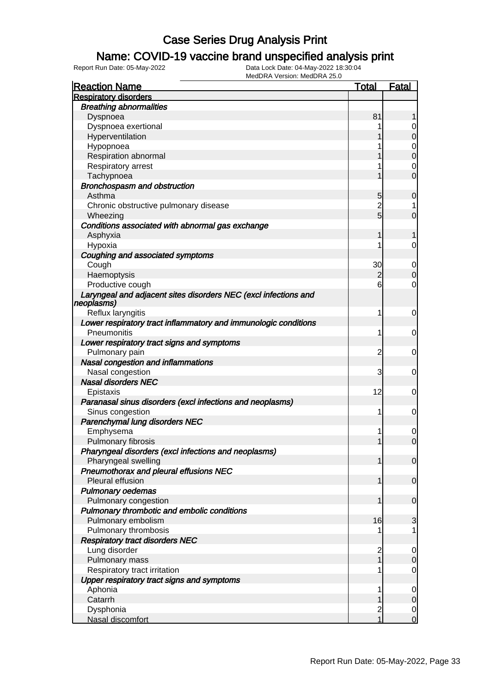### Name: COVID-19 vaccine brand unspecified analysis print

| <b>Reaction Name</b>                                                          | <b>Total</b>   | <b>Fatal</b>   |
|-------------------------------------------------------------------------------|----------------|----------------|
| <b>Respiratory disorders</b>                                                  |                |                |
| <b>Breathing abnormalities</b>                                                |                |                |
| Dyspnoea                                                                      | 81             |                |
| Dyspnoea exertional                                                           |                | 0              |
| Hyperventilation                                                              |                | $\mathbf 0$    |
| Hypopnoea                                                                     |                | 0              |
| Respiration abnormal                                                          |                | $\mathbf 0$    |
| Respiratory arrest                                                            |                | 0              |
| Tachypnoea                                                                    |                | $\overline{0}$ |
| <b>Bronchospasm and obstruction</b>                                           |                |                |
| Asthma                                                                        | 5              | $\mathbf 0$    |
| Chronic obstructive pulmonary disease                                         | $\overline{2}$ | 1              |
| Wheezing                                                                      | 5              | $\overline{0}$ |
| Conditions associated with abnormal gas exchange                              |                |                |
| Asphyxia                                                                      | 1              | 1              |
| Hypoxia                                                                       |                | $\overline{0}$ |
| Coughing and associated symptoms                                              |                |                |
| Cough                                                                         | 30             | 0              |
| Haemoptysis                                                                   | $\overline{2}$ | $\mathbf 0$    |
| Productive cough                                                              | 6              | $\overline{0}$ |
|                                                                               |                |                |
| Laryngeal and adjacent sites disorders NEC (excl infections and<br>neoplasms) |                |                |
| Reflux laryngitis                                                             | 1              | 0              |
| Lower respiratory tract inflammatory and immunologic conditions               |                |                |
| Pneumonitis                                                                   | 1              | 0              |
|                                                                               |                |                |
| Lower respiratory tract signs and symptoms<br>Pulmonary pain                  |                |                |
|                                                                               | $\overline{c}$ | 0              |
| Nasal congestion and inflammations                                            |                |                |
| Nasal congestion                                                              | 3              | 0              |
| <b>Nasal disorders NEC</b>                                                    |                |                |
| Epistaxis                                                                     | 12             | 0              |
| Paranasal sinus disorders (excl infections and neoplasms)                     |                |                |
| Sinus congestion                                                              | 1              | 0              |
| Parenchymal lung disorders NEC                                                |                |                |
| Emphysema                                                                     | 1              | $\mathbf 0$    |
| Pulmonary fibrosis                                                            |                | $\overline{0}$ |
| Pharyngeal disorders (excl infections and neoplasms)                          |                |                |
| Pharyngeal swelling                                                           | 1              | $\overline{0}$ |
| Pneumothorax and pleural effusions NEC                                        |                |                |
| Pleural effusion                                                              | 1              | $\overline{0}$ |
| <b>Pulmonary oedemas</b>                                                      |                |                |
| Pulmonary congestion                                                          | 1              | $\mathbf 0$    |
| Pulmonary thrombotic and embolic conditions                                   |                |                |
| Pulmonary embolism                                                            | 16             | 3              |
| Pulmonary thrombosis                                                          |                | 1              |
| <b>Respiratory tract disorders NEC</b>                                        |                |                |
| Lung disorder                                                                 | $\overline{c}$ | $\mathbf 0$    |
| Pulmonary mass                                                                | 1              | $\mathbf 0$    |
| Respiratory tract irritation                                                  | 1              | $\mathbf 0$    |
| Upper respiratory tract signs and symptoms                                    |                |                |
| Aphonia                                                                       | 1              | $\mathbf 0$    |
| Catarrh                                                                       |                | $\mathbf 0$    |
| Dysphonia                                                                     | $\overline{c}$ | $\overline{0}$ |
| Nasal discomfort                                                              | $\overline{1}$ | $\overline{0}$ |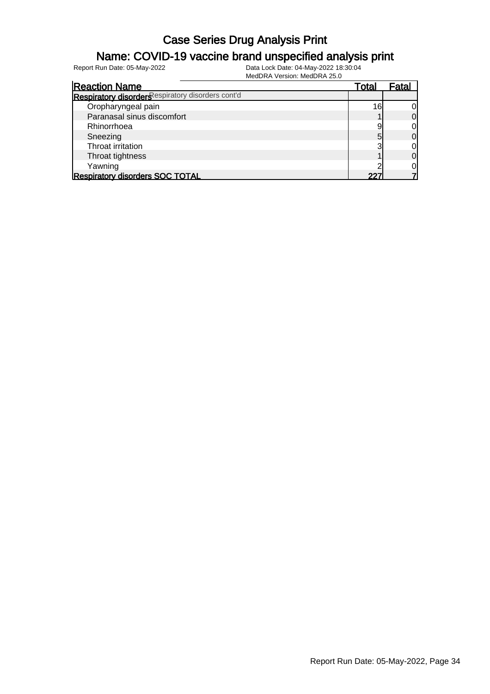#### Name: COVID-19 vaccine brand unspecified analysis print

| <b>Reaction Name</b>                              | Total           | Fatal          |
|---------------------------------------------------|-----------------|----------------|
| Respiratory disorders espiratory disorders cont'd |                 |                |
| Oropharyngeal pain                                | 16 <sub>1</sub> | 0l             |
| Paranasal sinus discomfort                        |                 | $\Omega$       |
| Rhinorrhoea                                       |                 | 01             |
| Sneezing                                          |                 | $\overline{0}$ |
| Throat irritation                                 |                 | 0              |
| Throat tightness                                  |                 | $\overline{0}$ |
| Yawning                                           |                 | 0              |
| <b>Respiratory disorders SOC TOTAL</b>            | つつつ             |                |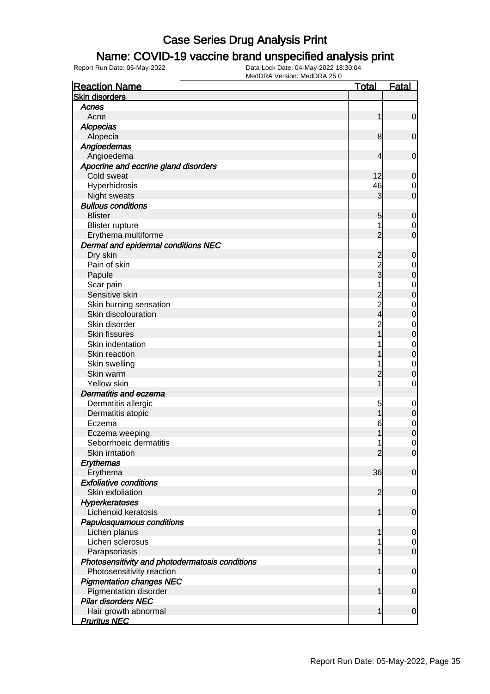### Name: COVID-19 vaccine brand unspecified analysis print

| <b>Reaction Name</b>                            | <u>Total</u>   | <b>Fatal</b>     |
|-------------------------------------------------|----------------|------------------|
| <b>Skin disorders</b>                           |                |                  |
| Acnes                                           |                |                  |
| Acne                                            | 1              | $\mathbf 0$      |
| <b>Alopecias</b>                                |                |                  |
| Alopecia                                        | 8              | $\mathbf 0$      |
| Angioedemas                                     |                |                  |
| Angioedema                                      | 4              | $\mathbf 0$      |
| Apocrine and eccrine gland disorders            |                |                  |
| Cold sweat                                      | 12             | $\mathbf 0$      |
| Hyperhidrosis                                   | 46             | 0                |
| Night sweats                                    | 3              | $\overline{0}$   |
| <b>Bullous conditions</b>                       |                |                  |
| <b>Blister</b>                                  | 5              | $\mathbf 0$      |
| <b>Blister rupture</b>                          | 1              | 0                |
| Erythema multiforme                             | $\overline{2}$ | $\overline{0}$   |
| Dermal and epidermal conditions NEC             |                |                  |
| Dry skin                                        | $\overline{c}$ | $\mathbf 0$      |
| Pain of skin                                    | $\overline{c}$ | $\mathbf 0$      |
| Papule                                          | $_3^-$         | $\mathbf 0$      |
| Scar pain                                       | 1              | $\mathbf 0$      |
| Sensitive skin                                  | $\overline{c}$ | $\mathbf{0}$     |
| Skin burning sensation                          |                | $\mathbf 0$      |
| Skin discolouration                             | 2<br>4         | $\mathbf{0}$     |
| Skin disorder                                   | $\overline{c}$ | $\mathbf 0$      |
| Skin fissures                                   | 1              | $\mathbf{0}$     |
| Skin indentation                                |                | $\mathbf 0$      |
| Skin reaction                                   |                | $\mathbf 0$      |
| Skin swelling                                   | 1              | $\mathbf 0$      |
| Skin warm                                       | $\overline{c}$ | 0                |
| Yellow skin                                     | 1              | $\mathbf 0$      |
| <b>Dermatitis and eczema</b>                    |                |                  |
| Dermatitis allergic                             | 5              | $\mathbf 0$      |
| Dermatitis atopic                               | 1              | $\boldsymbol{0}$ |
| Eczema                                          | 6              | $\mathbf 0$      |
| Eczema weeping                                  | 1              | $\mathbf 0$      |
| Seborrhoeic dermatitis                          | 1              | 0                |
| Skin irritation                                 | $\overline{2}$ | $\overline{0}$   |
| Erythemas                                       |                |                  |
| Erythema                                        | 36             | $\mathbf 0$      |
| <b>Exfoliative conditions</b>                   |                |                  |
| Skin exfoliation                                | $\overline{2}$ | $\mathbf 0$      |
| Hyperkeratoses                                  |                |                  |
| Lichenoid keratosis                             | 1              | $\mathbf 0$      |
| Papulosquamous conditions                       |                |                  |
| Lichen planus                                   | 1              | 0                |
| Lichen sclerosus                                | 1              | 0                |
| Parapsoriasis                                   | 1              | $\mathbf 0$      |
| Photosensitivity and photodermatosis conditions |                |                  |
| Photosensitivity reaction                       | 1              | $\mathbf 0$      |
| <b>Pigmentation changes NEC</b>                 |                |                  |
| Pigmentation disorder                           | 1              | $\mathbf 0$      |
| <b>Pilar disorders NEC</b>                      |                |                  |
| Hair growth abnormal                            | 1              | $\mathbf 0$      |
| <b>Pruritus NEC</b>                             |                |                  |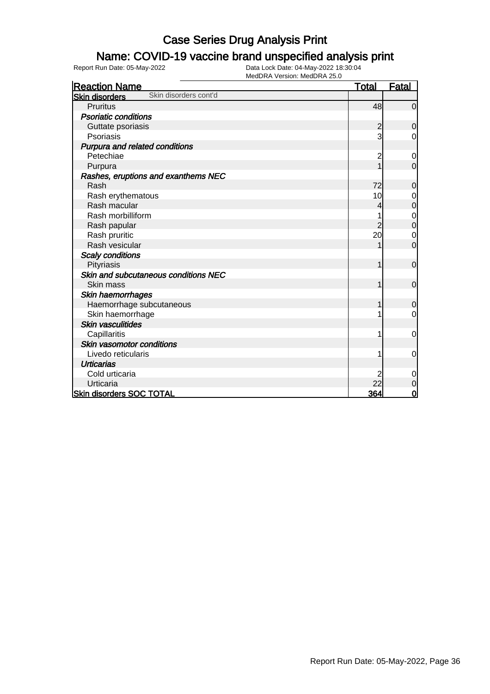#### Name: COVID-19 vaccine brand unspecified analysis print

| <b>Reaction Name</b>                           | <b>Total</b>   | <b>Fatal</b>   |
|------------------------------------------------|----------------|----------------|
| Skin disorders cont'd<br><b>Skin disorders</b> |                |                |
| Pruritus                                       | 48             | $\overline{0}$ |
| <b>Psoriatic conditions</b>                    |                |                |
| Guttate psoriasis                              | $\overline{c}$ | $\overline{0}$ |
| Psoriasis                                      | 3              | 0              |
| Purpura and related conditions                 |                |                |
| Petechiae                                      | 2              | $\mathbf 0$    |
| Purpura                                        |                | $\overline{0}$ |
| Rashes, eruptions and exanthems NEC            |                |                |
| Rash                                           | 72             | 0              |
| Rash erythematous                              | 10             | 0              |
| Rash macular                                   | 4              | $\mathbf 0$    |
| Rash morbilliform                              |                | $\mathbf 0$    |
| Rash papular                                   | 2              | $\overline{0}$ |
| Rash pruritic                                  | 20             | $\mathbf 0$    |
| Rash vesicular                                 |                | $\overline{0}$ |
| <b>Scaly conditions</b>                        |                |                |
| Pityriasis                                     |                | $\overline{0}$ |
| Skin and subcutaneous conditions NEC           |                |                |
| Skin mass                                      |                | $\mathbf 0$    |
| <b>Skin haemorrhages</b>                       |                |                |
| Haemorrhage subcutaneous                       |                | 0              |
| Skin haemorrhage                               |                | $\overline{0}$ |
| <b>Skin vasculitides</b>                       |                |                |
| Capillaritis                                   |                | 0              |
| Skin vasomotor conditions                      |                |                |
| Livedo reticularis                             |                | $\mathbf 0$    |
| <b>Urticarias</b>                              |                |                |
| Cold urticaria                                 |                | $\mathbf 0$    |
| Urticaria                                      | 22             | $\mathbf 0$    |
| <b>Skin disorders SOC TOTAL</b>                | 364            | $\overline{0}$ |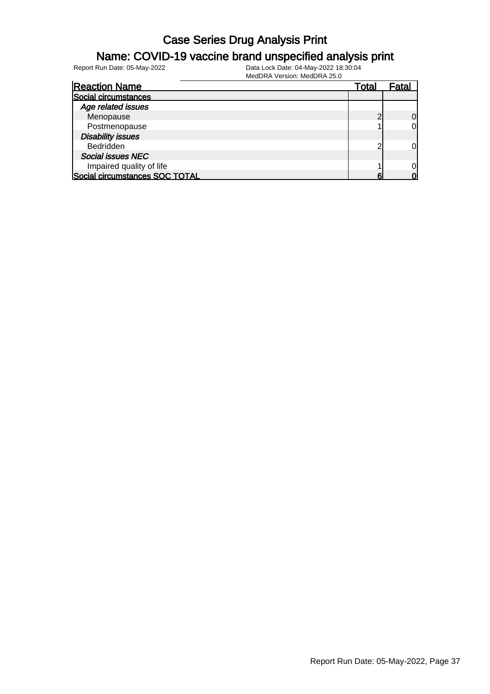#### Name: COVID-19 vaccine brand unspecified analysis print

| <b>Reaction Name</b>           | Total | Fatal    |
|--------------------------------|-------|----------|
| Social circumstances           |       |          |
| Age related issues             |       |          |
| Menopause                      |       | $\Omega$ |
| Postmenopause                  |       | 0        |
| <b>Disability issues</b>       |       |          |
| Bedridden                      |       | 0l       |
| <b>Social issues NEC</b>       |       |          |
| Impaired quality of life       |       | 0l       |
| Social circumstances SOC TOTAL |       |          |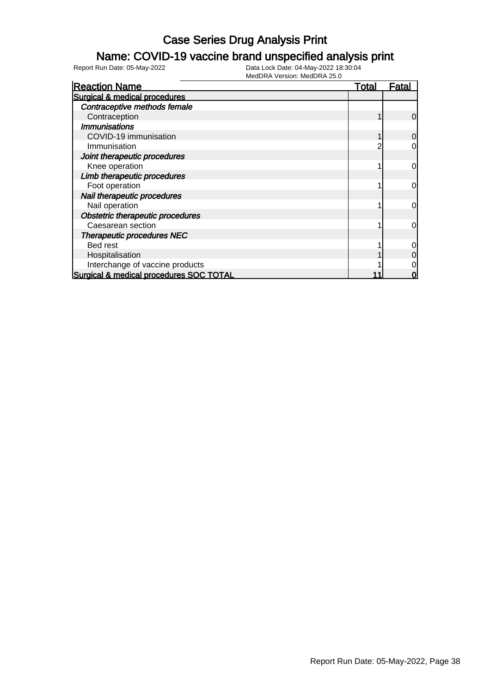#### Name: COVID-19 vaccine brand unspecified analysis print

| <b>Reaction Name</b>                    | <u>Total</u> | <u>Fatal</u>   |
|-----------------------------------------|--------------|----------------|
| Surgical & medical procedures           |              |                |
| Contraceptive methods female            |              |                |
| Contraception                           |              | $\overline{0}$ |
| <b>Immunisations</b>                    |              |                |
| COVID-19 immunisation                   |              | 0              |
| Immunisation                            |              | 0              |
| Joint therapeutic procedures            |              |                |
| Knee operation                          |              | <sub>0</sub>   |
| Limb therapeutic procedures             |              |                |
| Foot operation                          |              | $\overline{0}$ |
| Nail therapeutic procedures             |              |                |
| Nail operation                          |              | $\overline{0}$ |
| Obstetric therapeutic procedures        |              |                |
| Caesarean section                       |              | $\overline{0}$ |
| Therapeutic procedures NEC              |              |                |
| Bed rest                                |              | $\overline{0}$ |
| Hospitalisation                         |              | $\overline{0}$ |
| Interchange of vaccine products         |              | 0              |
| Surgical & medical procedures SOC TOTAL |              | 0              |